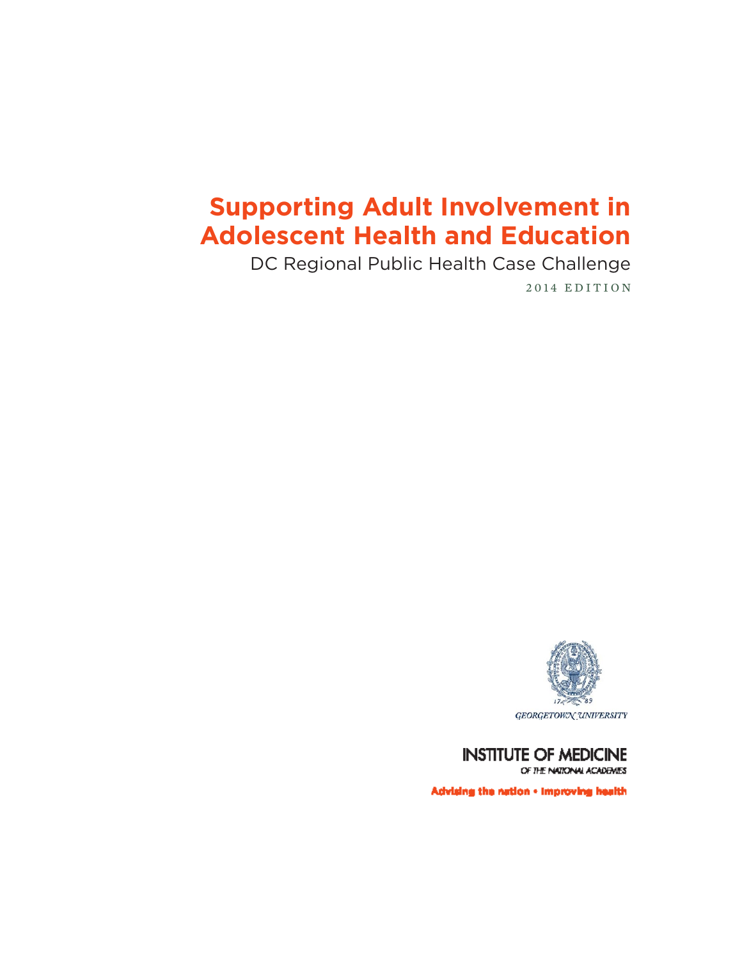# **Supporting Adult Involvement in Adolescent Health and Education**

DC Regional Public Health Case Challenge

2014 EDITION



**INSTITUTE OF MEDICINE** OF THE NATIONAL ACADEMES

Advising the nation - improving health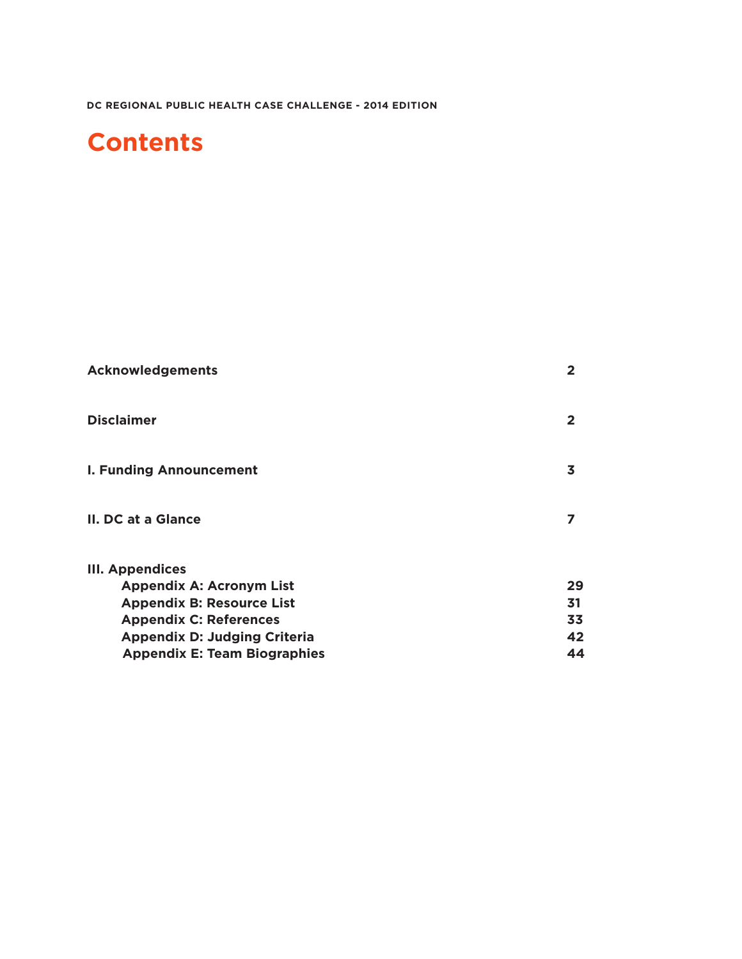# **Contents**

| <b>Acknowledgements</b>             | $\mathbf{2}$   |
|-------------------------------------|----------------|
| <b>Disclaimer</b>                   | $\overline{2}$ |
| <b>I. Funding Announcement</b>      | 3              |
| II. DC at a Glance                  | 7              |
| <b>III. Appendices</b>              |                |
| <b>Appendix A: Acronym List</b>     | 29             |
| <b>Appendix B: Resource List</b>    | 31             |
| <b>Appendix C: References</b>       | 33             |
| <b>Appendix D: Judging Criteria</b> | 42             |
| <b>Appendix E: Team Biographies</b> | 44             |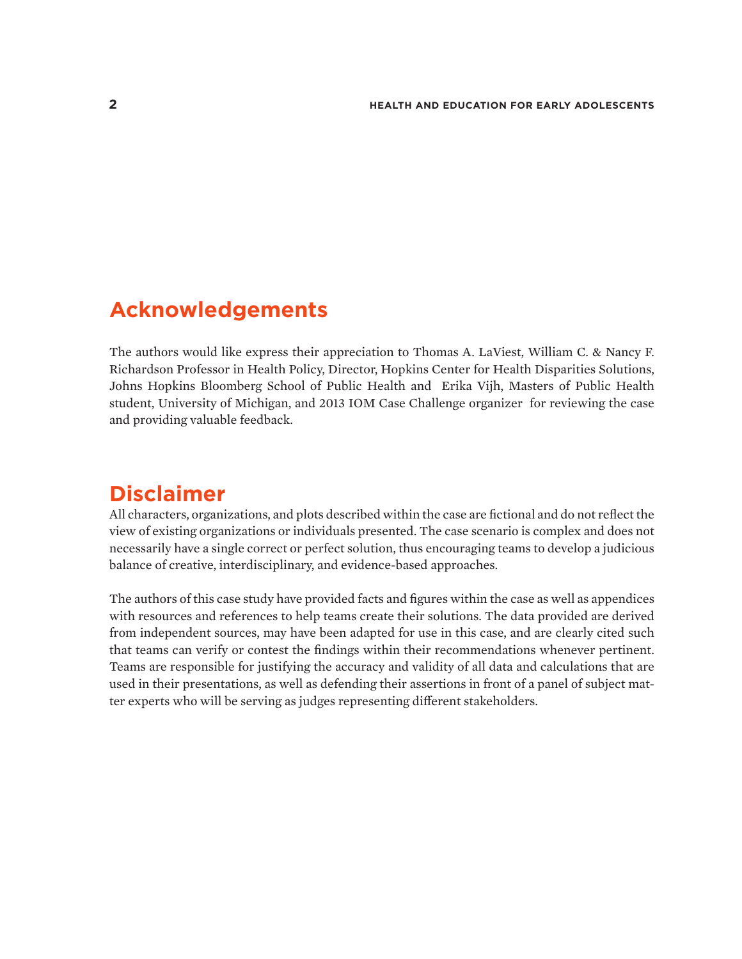# **Acknowledgements**

The authors would like express their appreciation to Thomas A. LaViest, William C. & Nancy F. Richardson Professor in Health Policy, Director, Hopkins Center for Health Disparities Solutions, Johns Hopkins Bloomberg School of Public Health and Erika Vijh, Masters of Public Health student, University of Michigan, and 2013 IOM Case Challenge organizer for reviewing the case and providing valuable feedback.

# **Disclaimer**

All characters, organizations, and plots described within the case are fictional and do not reflect the view of existing organizations or individuals presented. The case scenario is complex and does not necessarily have a single correct or perfect solution, thus encouraging teams to develop a judicious balance of creative, interdisciplinary, and evidence-based approaches.

The authors of this case study have provided facts and figures within the case as well as appendices with resources and references to help teams create their solutions. The data provided are derived from independent sources, may have been adapted for use in this case, and are clearly cited such that teams can verify or contest the findings within their recommendations whenever pertinent. Teams are responsible for justifying the accuracy and validity of all data and calculations that are used in their presentations, as well as defending their assertions in front of a panel of subject matter experts who will be serving as judges representing different stakeholders.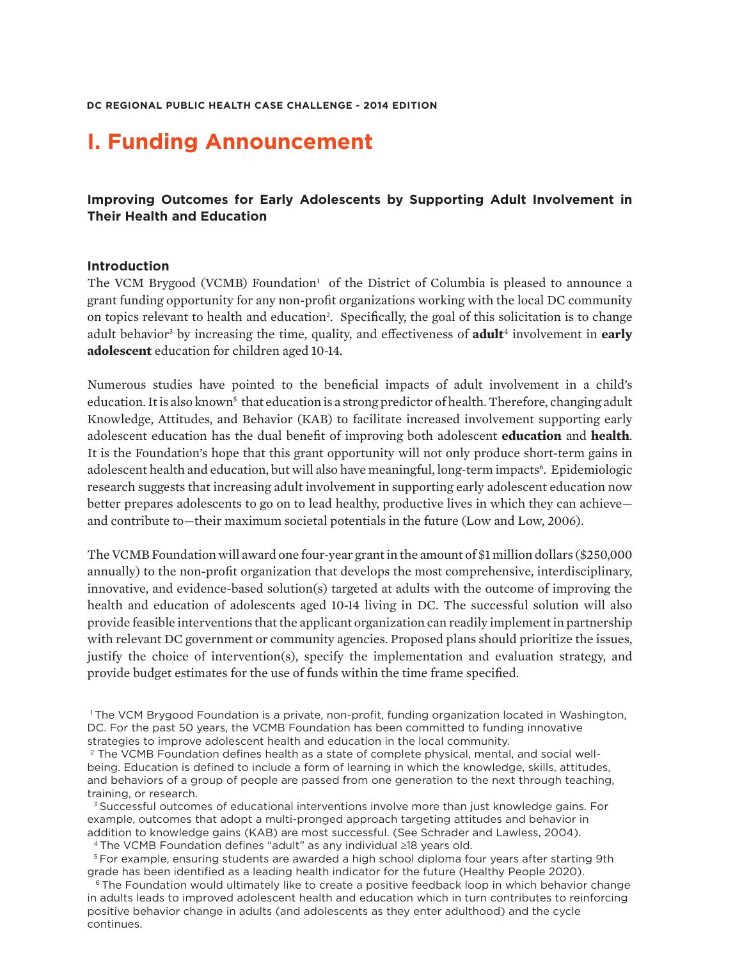# **I. Funding Announcement**

# **Improving Outcomes for Early Adolescents by Supporting Adult Involvement in Their Health and Education**

#### **Introduction**

The VCM Brygood (VCMB) Foundation<sup>1</sup> of the District of Columbia is pleased to announce a grant funding opportunity for any non-profit organizations working with the local DC community on topics relevant to health and education<sup>2</sup>. Specifically, the goal of this solicitation is to change adult behavior<sup>3</sup> by increasing the time, quality, and effectiveness of **adult**<sup>4</sup> involvement in **early adolescent** education for children aged 10-14.

Numerous studies have pointed to the beneficial impacts of adult involvement in a child's education. It is also known<sup>5</sup> that education is a strong predictor of health. Therefore, changing adult Knowledge, Attitudes, and Behavior (KAB) to facilitate increased involvement supporting early adolescent education has the dual benefit of improving both adolescent **education** and **health**. It is the Foundation's hope that this grant opportunity will not only produce short-term gains in adolescent health and education, but will also have meaningful, long-term impacts<sup>6</sup>. Epidemiologic research suggests that increasing adult involvement in supporting early adolescent education now better prepares adolescents to go on to lead healthy, productive lives in which they can achieve and contribute to—their maximum societal potentials in the future (Low and Low, 2006).

The VCMB Foundation will award one four-year grant in the amount of \$1 million dollars (\$250,000 annually) to the non-profit organization that develops the most comprehensive, interdisciplinary, innovative, and evidence-based solution(s) targeted at adults with the outcome of improving the health and education of adolescents aged 10-14 living in DC. The successful solution will also provide feasible interventions that the applicant organization can readily implement in partnership with relevant DC government or community agencies. Proposed plans should prioritize the issues, justify the choice of intervention(s), specify the implementation and evaluation strategy, and provide budget estimates for the use of funds within the time frame specified.

4 The VCMB Foundation defines "adult" as any individual ≥18 years old.

<sup>&</sup>lt;sup>1</sup>The VCM Brygood Foundation is a private, non-profit, funding organization located in Washington, DC. For the past 50 years, the VCMB Foundation has been committed to funding innovative strategies to improve adolescent health and education in the local community.

<sup>&</sup>lt;sup>2</sup> The VCMB Foundation defines health as a state of complete physical, mental, and social wellbeing. Education is defined to include a form of learning in which the knowledge, skills, attitudes, and behaviors of a group of people are passed from one generation to the next through teaching, training, or research.

<sup>&</sup>lt;sup>3</sup> Successful outcomes of educational interventions involve more than just knowledge gains. For example, outcomes that adopt a multi-pronged approach targeting attitudes and behavior in addition to knowledge gains (KAB) are most successful. (See Schrader and Lawless, 2004).

 <sup>5</sup> For example, ensuring students are awarded a high school diploma four years after starting 9th grade has been identified as a leading health indicator for the future (Healthy People 2020).

<sup>&</sup>lt;sup>6</sup> The Foundation would ultimately like to create a positive feedback loop in which behavior change in adults leads to improved adolescent health and education which in turn contributes to reinforcing positive behavior change in adults (and adolescents as they enter adulthood) and the cycle continues.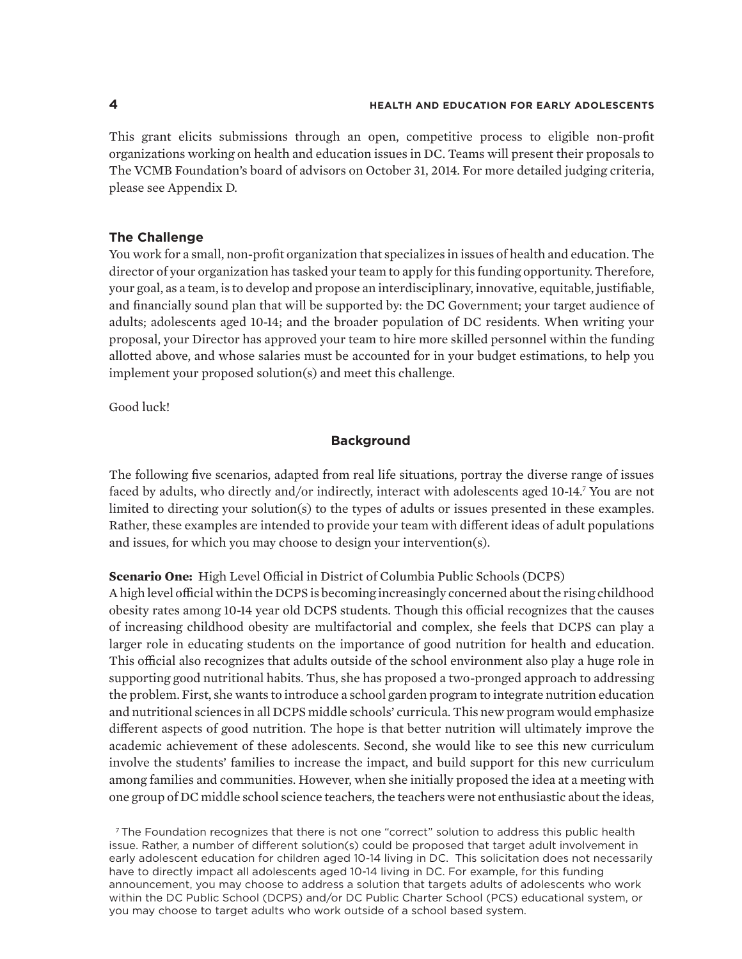This grant elicits submissions through an open, competitive process to eligible non-profit organizations working on health and education issues in DC. Teams will present their proposals to The VCMB Foundation's board of advisors on October 31, 2014. For more detailed judging criteria, please see Appendix D.

#### **The Challenge**

You work for a small, non-profit organization that specializes in issues of health and education. The director of your organization has tasked your team to apply for this funding opportunity. Therefore, your goal, as a team, is to develop and propose an interdisciplinary, innovative, equitable, justifiable, and financially sound plan that will be supported by: the DC Government; your target audience of adults; adolescents aged 10-14; and the broader population of DC residents. When writing your proposal, your Director has approved your team to hire more skilled personnel within the funding allotted above, and whose salaries must be accounted for in your budget estimations, to help you implement your proposed solution(s) and meet this challenge.

Good luck!

#### **Background**

The following five scenarios, adapted from real life situations, portray the diverse range of issues faced by adults, who directly and/or indirectly, interact with adolescents aged 10-14.7 You are not limited to directing your solution(s) to the types of adults or issues presented in these examples. Rather, these examples are intended to provide your team with different ideas of adult populations and issues, for which you may choose to design your intervention(s).

#### **Scenario One:** High Level Official in District of Columbia Public Schools (DCPS)

A high level official within the DCPS is becoming increasingly concerned about the rising childhood obesity rates among 10-14 year old DCPS students. Though this official recognizes that the causes of increasing childhood obesity are multifactorial and complex, she feels that DCPS can play a larger role in educating students on the importance of good nutrition for health and education. This official also recognizes that adults outside of the school environment also play a huge role in supporting good nutritional habits. Thus, she has proposed a two-pronged approach to addressing the problem. First, she wants to introduce a school garden program to integrate nutrition education and nutritional sciences in all DCPS middle schools' curricula. This new program would emphasize different aspects of good nutrition. The hope is that better nutrition will ultimately improve the academic achievement of these adolescents. Second, she would like to see this new curriculum involve the students' families to increase the impact, and build support for this new curriculum among families and communities. However, when she initially proposed the idea at a meeting with one group of DC middle school science teachers, the teachers were not enthusiastic about the ideas,

 7 The Foundation recognizes that there is not one "correct" solution to address this public health issue. Rather, a number of different solution(s) could be proposed that target adult involvement in early adolescent education for children aged 10-14 living in DC. This solicitation does not necessarily have to directly impact all adolescents aged 10-14 living in DC. For example, for this funding announcement, you may choose to address a solution that targets adults of adolescents who work within the DC Public School (DCPS) and/or DC Public Charter School (PCS) educational system, or you may choose to target adults who work outside of a school based system.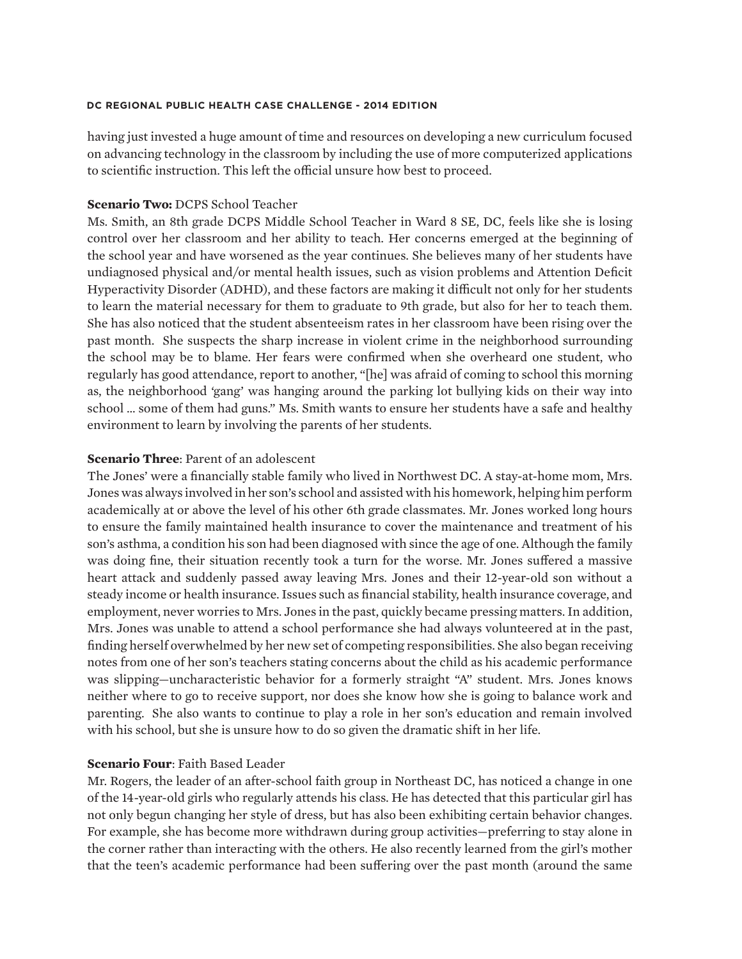having just invested a huge amount of time and resources on developing a new curriculum focused on advancing technology in the classroom by including the use of more computerized applications to scientific instruction. This left the official unsure how best to proceed.

#### **Scenario Two:** DCPS School Teacher

Ms. Smith, an 8th grade DCPS Middle School Teacher in Ward 8 SE, DC, feels like she is losing control over her classroom and her ability to teach. Her concerns emerged at the beginning of the school year and have worsened as the year continues. She believes many of her students have undiagnosed physical and/or mental health issues, such as vision problems and Attention Deficit Hyperactivity Disorder (ADHD), and these factors are making it difficult not only for her students to learn the material necessary for them to graduate to 9th grade, but also for her to teach them. She has also noticed that the student absenteeism rates in her classroom have been rising over the past month. She suspects the sharp increase in violent crime in the neighborhood surrounding the school may be to blame. Her fears were confirmed when she overheard one student, who regularly has good attendance, report to another, "[he] was afraid of coming to school this morning as, the neighborhood 'gang' was hanging around the parking lot bullying kids on their way into school … some of them had guns." Ms. Smith wants to ensure her students have a safe and healthy environment to learn by involving the parents of her students.

#### **Scenario Three**: Parent of an adolescent

The Jones' were a financially stable family who lived in Northwest DC. A stay-at-home mom, Mrs. Jones was always involved in her son's school and assisted with his homework, helping him perform academically at or above the level of his other 6th grade classmates. Mr. Jones worked long hours to ensure the family maintained health insurance to cover the maintenance and treatment of his son's asthma, a condition his son had been diagnosed with since the age of one. Although the family was doing fine, their situation recently took a turn for the worse. Mr. Jones suffered a massive heart attack and suddenly passed away leaving Mrs. Jones and their 12-year-old son without a steady income or health insurance. Issues such as financial stability, health insurance coverage, and employment, never worries to Mrs. Jones in the past, quickly became pressing matters. In addition, Mrs. Jones was unable to attend a school performance she had always volunteered at in the past, finding herself overwhelmed by her new set of competing responsibilities. She also began receiving notes from one of her son's teachers stating concerns about the child as his academic performance was slipping—uncharacteristic behavior for a formerly straight "A" student. Mrs. Jones knows neither where to go to receive support, nor does she know how she is going to balance work and parenting. She also wants to continue to play a role in her son's education and remain involved with his school, but she is unsure how to do so given the dramatic shift in her life.

### **Scenario Four**: Faith Based Leader

Mr. Rogers, the leader of an after-school faith group in Northeast DC, has noticed a change in one of the 14-year-old girls who regularly attends his class. He has detected that this particular girl has not only begun changing her style of dress, but has also been exhibiting certain behavior changes. For example, she has become more withdrawn during group activities—preferring to stay alone in the corner rather than interacting with the others. He also recently learned from the girl's mother that the teen's academic performance had been suffering over the past month (around the same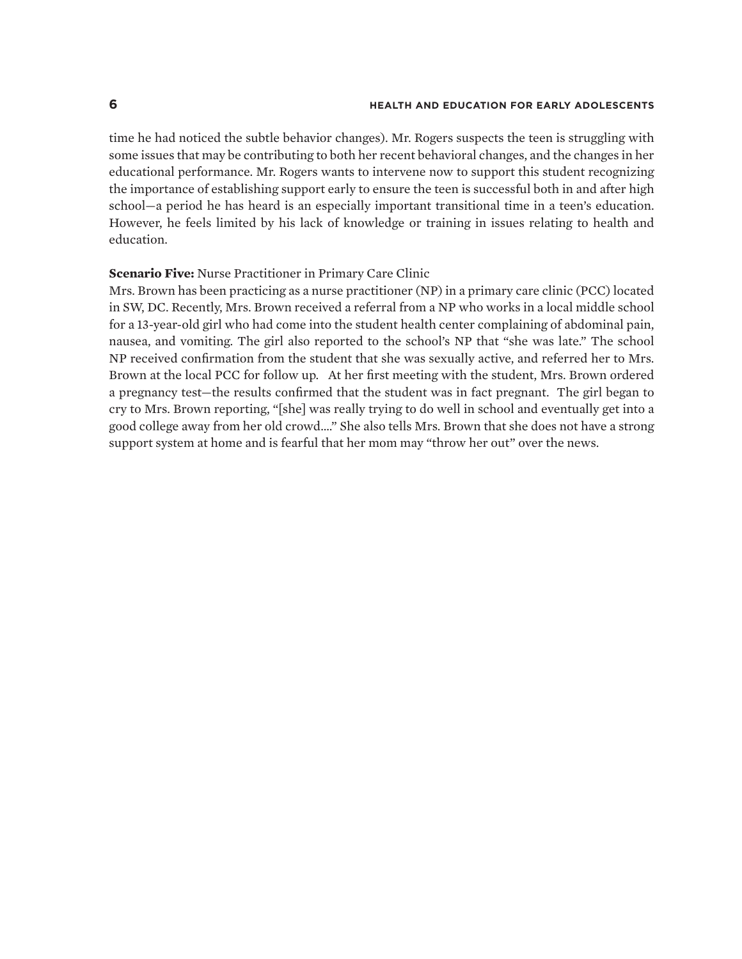time he had noticed the subtle behavior changes). Mr. Rogers suspects the teen is struggling with some issues that may be contributing to both her recent behavioral changes, and the changes in her educational performance. Mr. Rogers wants to intervene now to support this student recognizing the importance of establishing support early to ensure the teen is successful both in and after high school—a period he has heard is an especially important transitional time in a teen's education. However, he feels limited by his lack of knowledge or training in issues relating to health and education.

#### **Scenario Five:** Nurse Practitioner in Primary Care Clinic

Mrs. Brown has been practicing as a nurse practitioner (NP) in a primary care clinic (PCC) located in SW, DC. Recently, Mrs. Brown received a referral from a NP who works in a local middle school for a 13-year-old girl who had come into the student health center complaining of abdominal pain, nausea, and vomiting. The girl also reported to the school's NP that "she was late." The school NP received confirmation from the student that she was sexually active, and referred her to Mrs. Brown at the local PCC for follow up. At her first meeting with the student, Mrs. Brown ordered a pregnancy test—the results confirmed that the student was in fact pregnant. The girl began to cry to Mrs. Brown reporting, "[she] was really trying to do well in school and eventually get into a good college away from her old crowd…." She also tells Mrs. Brown that she does not have a strong support system at home and is fearful that her mom may "throw her out" over the news.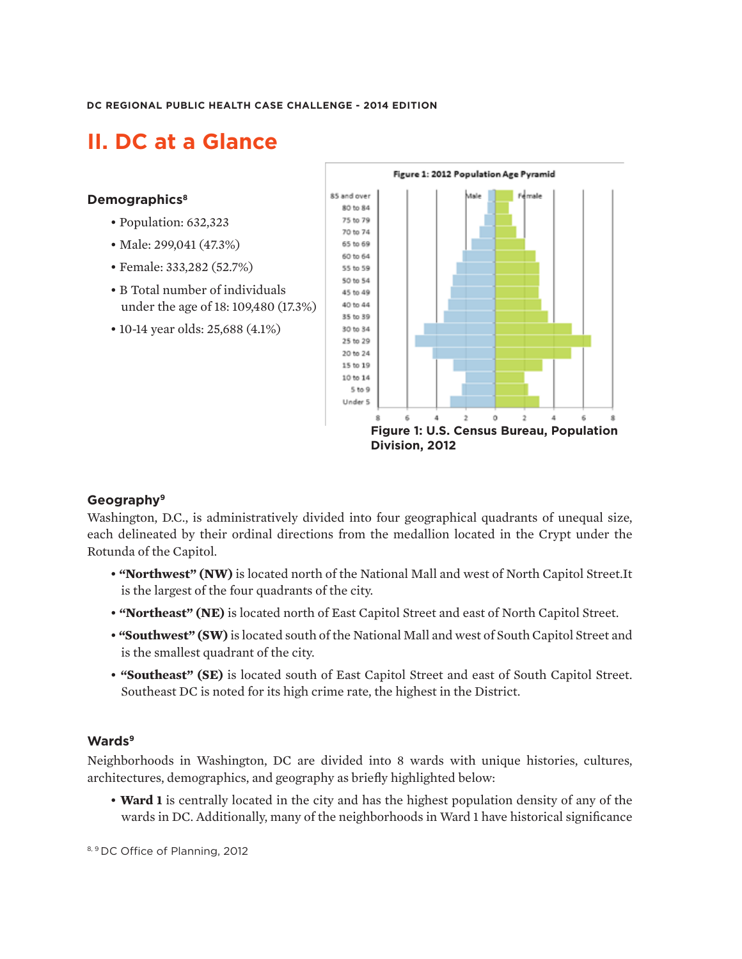# **II. DC at a Glance**

#### **Demographics8**

- Population: 632,323
- Male: 299,041 (47.3%)
- Female: 333,282 (52.7%)
- *•* B Total number of individuals under the age of 18: 109,480 (17.3%)
- 10-14 year olds: 25,688 (4.1%)



### **Geography9**

Washington, D.C., is administratively divided into four geographical quadrants of unequal size, each delineated by their ordinal directions from the medallion located in the Crypt under the Rotunda of the Capitol.

- **"Northwest" (NW)** is located north of the National Mall and west of North Capitol Street.It is the largest of the four quadrants of the city.
- **"Northeast" (NE)** is located north of East Capitol Street and east of North Capitol Street.
- *•* **"Southwest" (SW)** is located south of the National Mall and west of South Capitol Street and is the smallest quadrant of the city.
- **"Southeast" (SE)** is located south of East Capitol Street and east of South Capitol Street. Southeast DC is noted for its high crime rate, the highest in the District.

#### **Wards9**

Neighborhoods in Washington, DC are divided into 8 wards with unique histories, cultures, architectures, demographics, and geography as briefly highlighted below:

• **Ward 1** is centrally located in the city and has the highest population density of any of the wards in DC. Additionally, many of the neighborhoods in Ward 1 have historical significance

8, 9 DC Office of Planning, 2012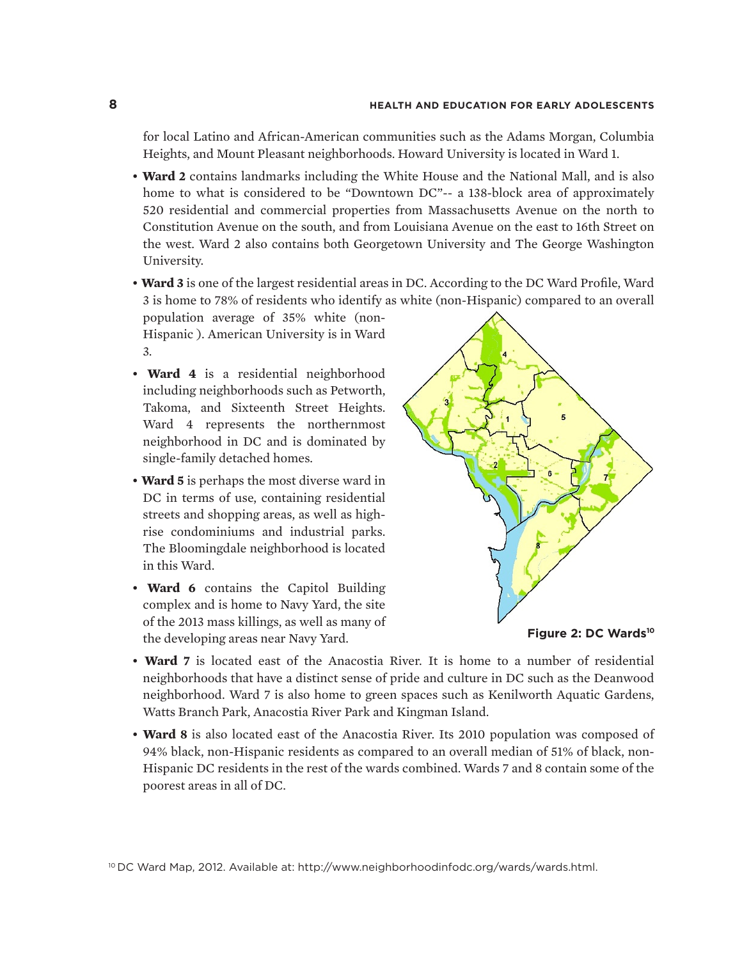for local Latino and African-American communities such as the Adams Morgan, Columbia Heights, and Mount Pleasant neighborhoods. Howard University is located in Ward 1.

- **Ward 2** contains landmarks including the White House and the National Mall, and is also home to what is considered to be "Downtown DC"-- a 138-block area of approximately 520 residential and commercial properties from Massachusetts Avenue on the north to Constitution Avenue on the south, and from Louisiana Avenue on the east to 16th Street on the west. Ward 2 also contains both Georgetown University and The George Washington University.
- **Ward 3** is one of the largest residential areas in DC. According to the DC Ward Profile, Ward 3 is home to 78% of residents who identify as white (non-Hispanic) compared to an overall

population average of 35% white (non-Hispanic ). American University is in Ward 3.

- **Ward 4** is a residential neighborhood including neighborhoods such as Petworth, Takoma, and Sixteenth Street Heights. Ward 4 represents the northernmost neighborhood in DC and is dominated by single-family detached homes.
- **Ward 5** is perhaps the most diverse ward in DC in terms of use, containing residential streets and shopping areas, as well as highrise condominiums and industrial parks. The Bloomingdale neighborhood is located in this Ward.
- **Ward 6** contains the Capitol Building complex and is home to Navy Yard, the site of the 2013 mass killings, as well as many of the developing areas near Navy Yard.





- **Ward 7** is located east of the Anacostia River. It is home to a number of residential neighborhoods that have a distinct sense of pride and culture in DC such as the Deanwood neighborhood. Ward 7 is also home to green spaces such as Kenilworth Aquatic Gardens, Watts Branch Park, Anacostia River Park and Kingman Island.
- **Ward 8** is also located east of the Anacostia River. Its 2010 population was composed of 94% black, non-Hispanic residents as compared to an overall median of 51% of black, non-Hispanic DC residents in the rest of the wards combined. Wards 7 and 8 contain some of the poorest areas in all of DC.

10 DC Ward Map, 2012. Available at: http://www.neighborhoodinfodc.org/wards/wards.html.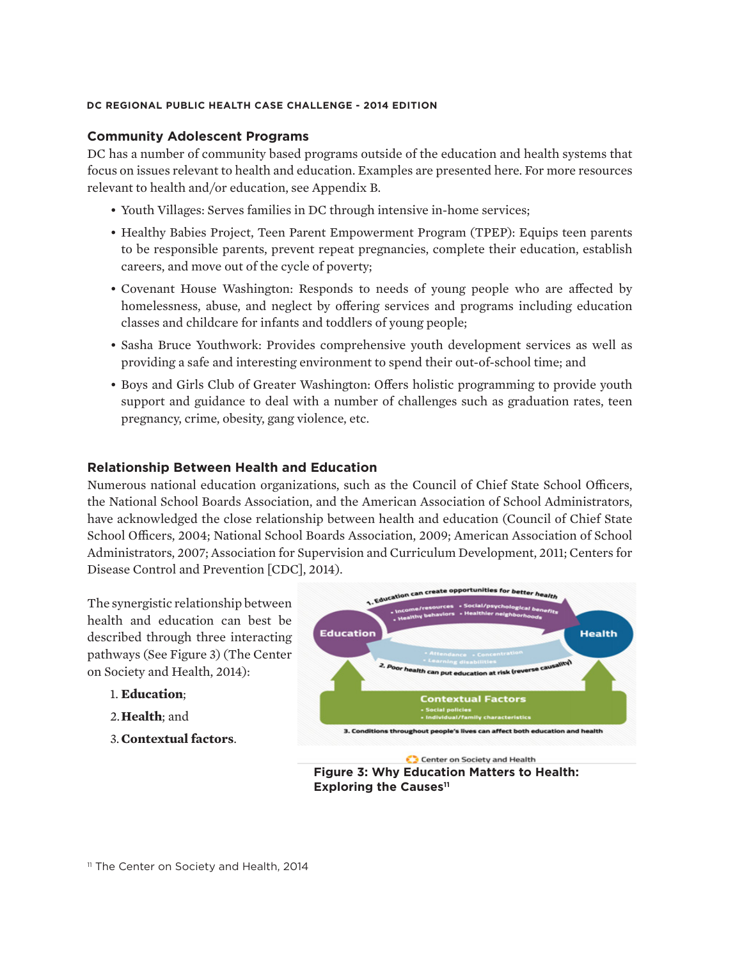#### **Community Adolescent Programs**

DC has a number of community based programs outside of the education and health systems that focus on issues relevant to health and education. Examples are presented here. For more resources relevant to health and/or education, see Appendix B.

- Youth Villages: Serves families in DC through intensive in-home services;
- Healthy Babies Project, Teen Parent Empowerment Program (TPEP): Equips teen parents to be responsible parents, prevent repeat pregnancies, complete their education, establish careers, and move out of the cycle of poverty;
- Covenant House Washington: Responds to needs of young people who are affected by homelessness, abuse, and neglect by offering services and programs including education classes and childcare for infants and toddlers of young people;
- Sasha Bruce Youthwork: Provides comprehensive youth development services as well as providing a safe and interesting environment to spend their out-of-school time; and
- Boys and Girls Club of Greater Washington: Offers holistic programming to provide youth support and guidance to deal with a number of challenges such as graduation rates, teen pregnancy, crime, obesity, gang violence, etc.

#### **Relationship Between Health and Education**

Numerous national education organizations, such as the Council of Chief State School Officers, the National School Boards Association, and the American Association of School Administrators, have acknowledged the close relationship between health and education (Council of Chief State School Officers, 2004; National School Boards Association, 2009; American Association of School Administrators, 2007; Association for Supervision and Curriculum Development, 2011; Centers for Disease Control and Prevention [CDC], 2014).

The synergistic relationship between health and education can best be described through three interacting pathways (See Figure 3) (The Center on Society and Health, 2014):

- 1. **Education**;
- 2.**Health**; and
- 3. **Contextual factors**.



**Figure 3: Why Education Matters to Health: Exploring the Causes<sup>11</sup>** 

<sup>11</sup> The Center on Society and Health, 2014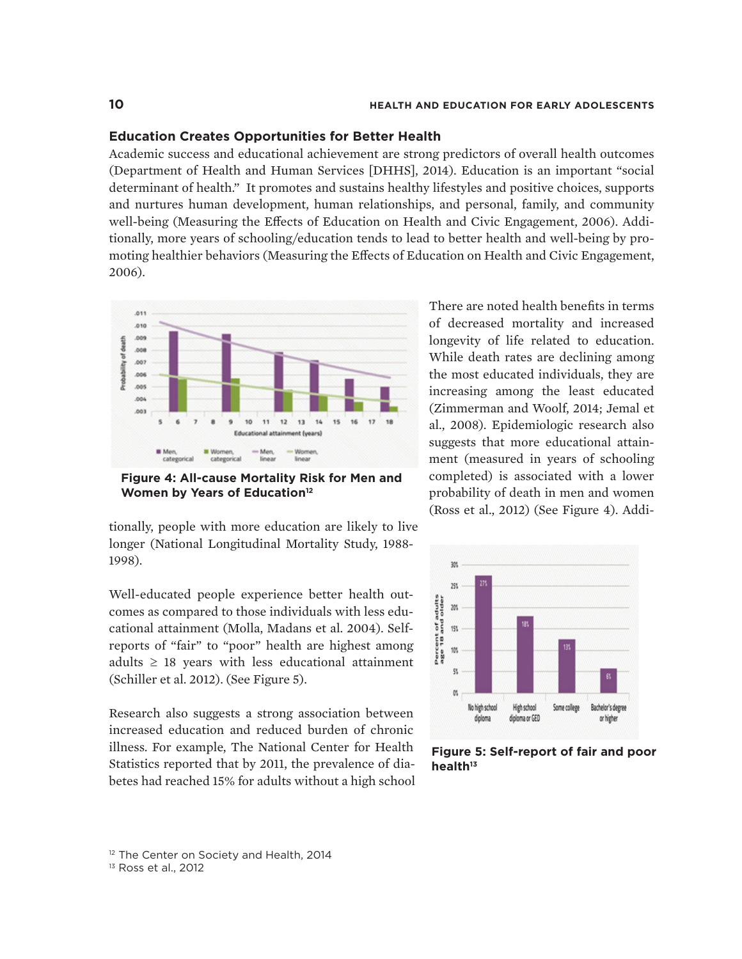#### **Education Creates Opportunities for Better Health**

Academic success and educational achievement are strong predictors of overall health outcomes (Department of Health and Human Services [DHHS], 2014). Education is an important "social determinant of health." It promotes and sustains healthy lifestyles and positive choices, supports and nurtures human development, human relationships, and personal, family, and community well-being (Measuring the Effects of Education on Health and Civic Engagement, 2006). Additionally, more years of schooling/education tends to lead to better health and well-being by promoting healthier behaviors (Measuring the Effects of Education on Health and Civic Engagement, 2006).



**Figure 4: All-cause Mortality Risk for Men and Women by Years of Education**<sup>12</sup>

tionally, people with more education are likely to live longer (National Longitudinal Mortality Study, 1988- 1998).

Well-educated people experience better health outcomes as compared to those individuals with less educational attainment (Molla, Madans et al. 2004). Selfreports of "fair" to "poor" health are highest among adults  $\geq$  18 years with less educational attainment (Schiller et al. 2012). (See Figure 5).

Research also suggests a strong association between increased education and reduced burden of chronic illness. For example, The National Center for Health Statistics reported that by 2011, the prevalence of diabetes had reached 15% for adults without a high school

There are noted health benefits in terms of decreased mortality and increased longevity of life related to education. While death rates are declining among the most educated individuals, they are increasing among the least educated (Zimmerman and Woolf, 2014; Jemal et al., 2008). Epidemiologic research also suggests that more educational attainment (measured in years of schooling completed) is associated with a lower probability of death in men and women (Ross et al., 2012) (See Figure 4). Addi-



**Figure 5: Self-report of fair and poor health13**

<sup>12</sup> The Center on Society and Health, 2014

13 Ross et al., 2012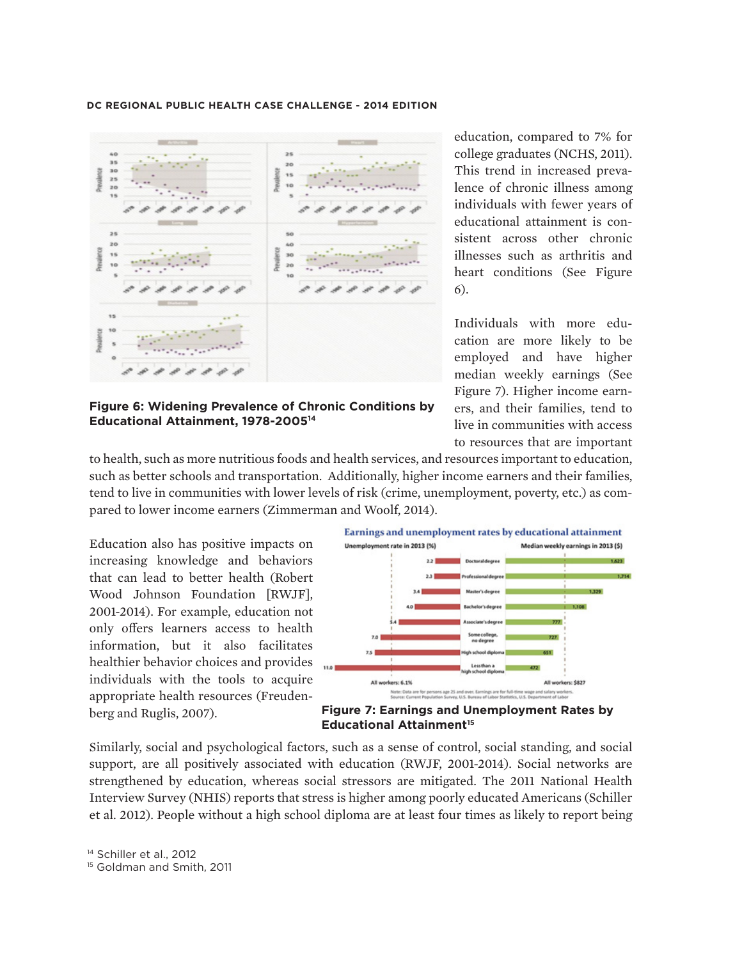

illnesses such as arthritis and heart conditions (See Figure 6). Individuals with more edu-

cation are more likely to be employed and have higher median weekly earnings (See Figure 7). Higher income earners, and their families, tend to live in communities with access to resources that are important

education, compared to 7% for college graduates (NCHS, 2011). This trend in increased prevalence of chronic illness among individuals with fewer years of educational attainment is consistent across other chronic

**Figure 6: Widening Prevalence of Chronic Conditions by Educational Attainment, 1978-200514**

to health, such as more nutritious foods and health services, and resources important to education, such as better schools and transportation. Additionally, higher income earners and their families, tend to live in communities with lower levels of risk (crime, unemployment, poverty, etc.) as compared to lower income earners (Zimmerman and Woolf, 2014).

Education also has positive impacts on increasing knowledge and behaviors that can lead to better health (Robert Wood Johnson Foundation [RWJF], 2001-2014). For example, education not only offers learners access to health information, but it also facilitates healthier behavior choices and provides individuals with the tools to acquire appropriate health resources (Freudenberg and Ruglis, 2007).



**Figure 7: Earnings and Unemployment Rates by Educational Attainment<sup>15</sup>** 

Similarly, social and psychological factors, such as a sense of control, social standing, and social support, are all positively associated with education (RWJF, 2001-2014). Social networks are strengthened by education, whereas social stressors are mitigated. The 2011 National Health Interview Survey (NHIS) reports that stress is higher among poorly educated Americans (Schiller et al. 2012). People without a high school diploma are at least four times as likely to report being

<sup>14</sup> Schiller et al., 2012

<sup>&</sup>lt;sup>15</sup> Goldman and Smith, 2011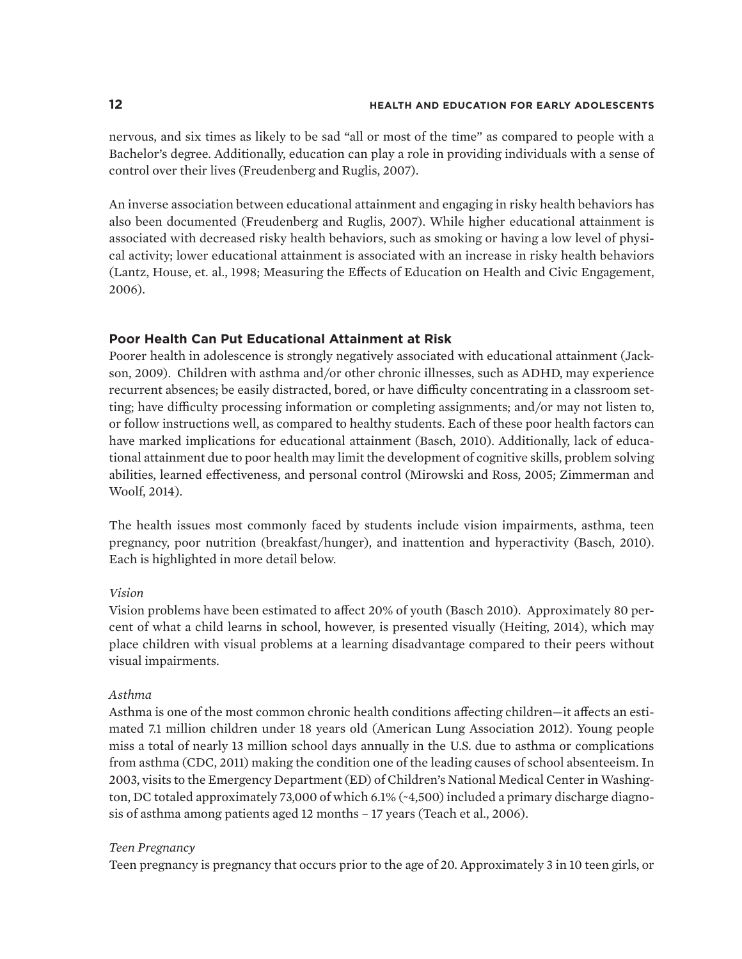nervous, and six times as likely to be sad "all or most of the time" as compared to people with a Bachelor's degree. Additionally, education can play a role in providing individuals with a sense of control over their lives (Freudenberg and Ruglis, 2007).

An inverse association between educational attainment and engaging in risky health behaviors has also been documented (Freudenberg and Ruglis, 2007). While higher educational attainment is associated with decreased risky health behaviors, such as smoking or having a low level of physical activity; lower educational attainment is associated with an increase in risky health behaviors (Lantz, House, et. al., 1998; Measuring the Effects of Education on Health and Civic Engagement, 2006).

### **Poor Health Can Put Educational Attainment at Risk**

Poorer health in adolescence is strongly negatively associated with educational attainment (Jackson, 2009). Children with asthma and/or other chronic illnesses, such as ADHD, may experience recurrent absences; be easily distracted, bored, or have difficulty concentrating in a classroom setting; have difficulty processing information or completing assignments; and/or may not listen to, or follow instructions well, as compared to healthy students. Each of these poor health factors can have marked implications for educational attainment (Basch, 2010). Additionally, lack of educational attainment due to poor health may limit the development of cognitive skills, problem solving abilities, learned effectiveness, and personal control (Mirowski and Ross, 2005; Zimmerman and Woolf, 2014).

The health issues most commonly faced by students include vision impairments, asthma, teen pregnancy, poor nutrition (breakfast/hunger), and inattention and hyperactivity (Basch, 2010). Each is highlighted in more detail below.

### *Vision*

Vision problems have been estimated to affect 20% of youth (Basch 2010). Approximately 80 percent of what a child learns in school, however, is presented visually (Heiting, 2014), which may place children with visual problems at a learning disadvantage compared to their peers without visual impairments.

#### *Asthma*

Asthma is one of the most common chronic health conditions affecting children—it affects an estimated 7.1 million children under 18 years old (American Lung Association 2012). Young people miss a total of nearly 13 million school days annually in the U.S. due to asthma or complications from asthma (CDC, 2011) making the condition one of the leading causes of school absenteeism. In 2003, visits to the Emergency Department (ED) of Children's National Medical Center in Washington, DC totaled approximately 73,000 of which 6.1% (~4,500) included a primary discharge diagnosis of asthma among patients aged 12 months – 17 years (Teach et al., 2006).

#### *Teen Pregnancy*

Teen pregnancy is pregnancy that occurs prior to the age of 20. Approximately 3 in 10 teen girls, or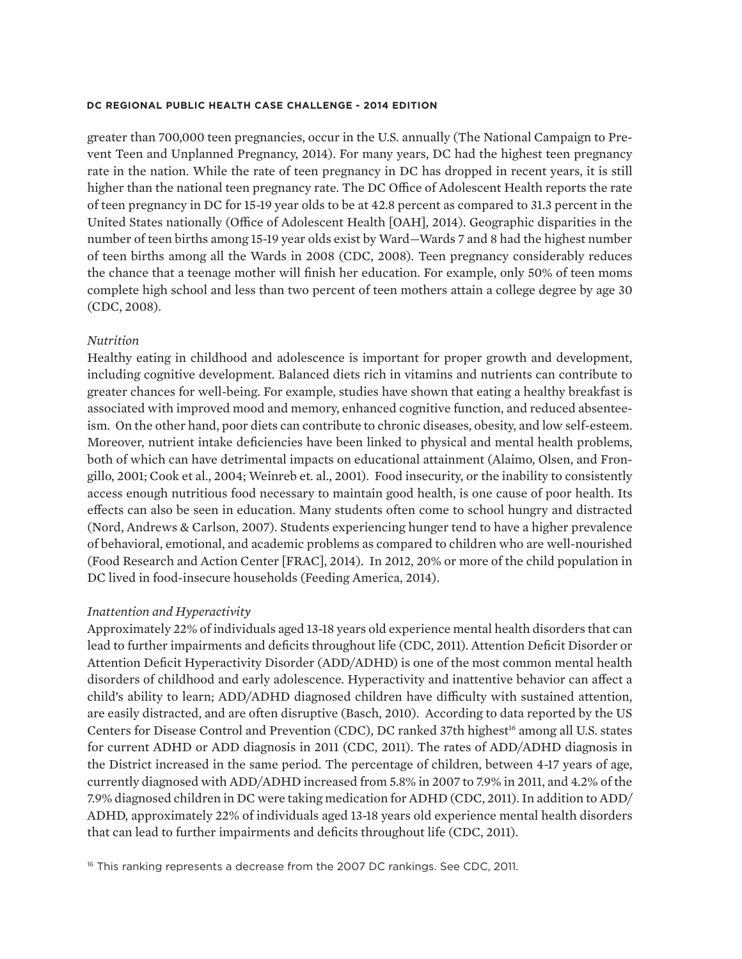greater than 700,000 teen pregnancies, occur in the U.S. annually (The National Campaign to Prevent Teen and Unplanned Pregnancy, 2014). For many years, DC had the highest teen pregnancy rate in the nation. While the rate of teen pregnancy in DC has dropped in recent years, it is still higher than the national teen pregnancy rate. The DC Office of Adolescent Health reports the rate of teen pregnancy in DC for 15-19 year olds to be at 42.8 percent as compared to 31.3 percent in the United States nationally (Office of Adolescent Health [OAH], 2014). Geographic disparities in the number of teen births among 15-19 year olds exist by Ward—Wards 7 and 8 had the highest number of teen births among all the Wards in 2008 (CDC, 2008). Teen pregnancy considerably reduces the chance that a teenage mother will finish her education. For example, only 50% of teen moms complete high school and less than two percent of teen mothers attain a college degree by age 30 (CDC, 2008).

#### *Nutrition*

Healthy eating in childhood and adolescence is important for proper growth and development, including cognitive development. Balanced diets rich in vitamins and nutrients can contribute to greater chances for well-being. For example, studies have shown that eating a healthy breakfast is associated with improved mood and memory, enhanced cognitive function, and reduced absenteeism. On the other hand, poor diets can contribute to chronic diseases, obesity, and low self-esteem. Moreover, nutrient intake deficiencies have been linked to physical and mental health problems, both of which can have detrimental impacts on educational attainment (Alaimo, Olsen, and Frongillo, 2001; Cook et al., 2004; Weinreb et. al., 2001). Food insecurity, or the inability to consistently access enough nutritious food necessary to maintain good health, is one cause of poor health. Its effects can also be seen in education. Many students often come to school hungry and distracted (Nord, Andrews & Carlson, 2007). Students experiencing hunger tend to have a higher prevalence of behavioral, emotional, and academic problems as compared to children who are well-nourished (Food Research and Action Center [FRAC], 2014). In 2012, 20% or more of the child population in DC lived in food-insecure households (Feeding America, 2014).

#### *Inattention and Hyperactivity*

Approximately 22% of individuals aged 13-18 years old experience mental health disorders that can lead to further impairments and deficits throughout life (CDC, 2011). Attention Deficit Disorder or Attention Deficit Hyperactivity Disorder (ADD/ADHD) is one of the most common mental health disorders of childhood and early adolescence. Hyperactivity and inattentive behavior can affect a child's ability to learn; ADD/ADHD diagnosed children have difficulty with sustained attention, are easily distracted, and are often disruptive (Basch, 2010). According to data reported by the US Centers for Disease Control and Prevention (CDC), DC ranked 37th highest<sup>16</sup> among all U.S. states for current ADHD or ADD diagnosis in 2011 (CDC, 2011). The rates of ADD/ADHD diagnosis in the District increased in the same period. The percentage of children, between 4-17 years of age, currently diagnosed with ADD/ADHD increased from 5.8% in 2007 to 7.9% in 2011, and 4.2% of the 7.9% diagnosed children in DC were taking medication for ADHD (CDC, 2011). In addition to ADD/ ADHD, approximately 22% of individuals aged 13-18 years old experience mental health disorders that can lead to further impairments and deficits throughout life (CDC, 2011).

<sup>16</sup> This ranking represents a decrease from the 2007 DC rankings. See CDC, 2011.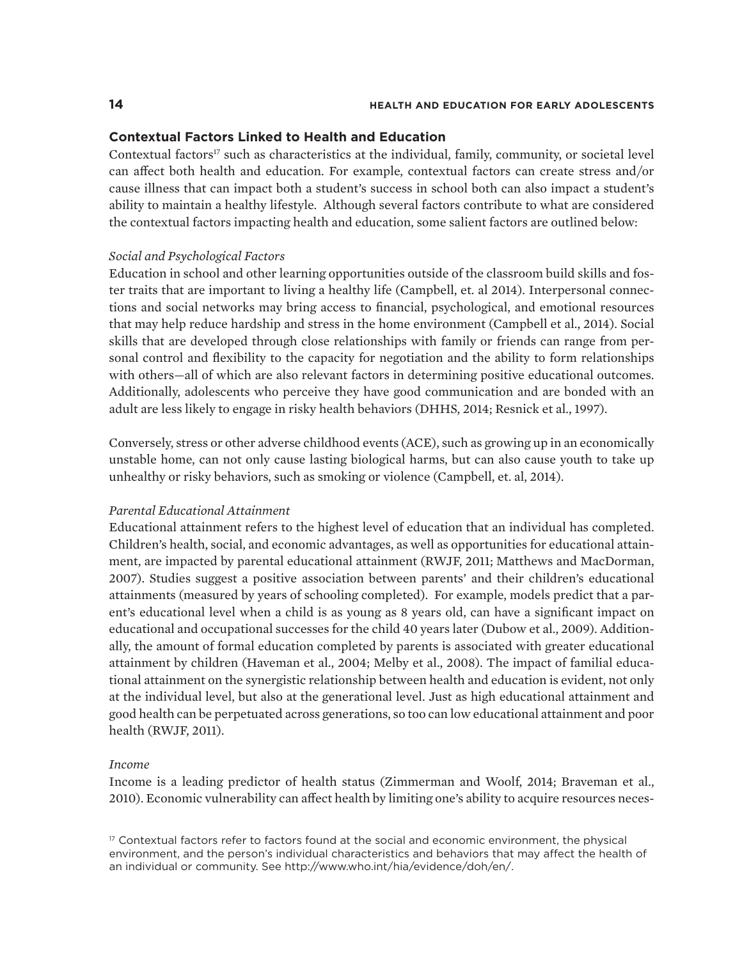#### **Contextual Factors Linked to Health and Education**

Contextual factors<sup>17</sup> such as characteristics at the individual, family, community, or societal level can affect both health and education. For example, contextual factors can create stress and/or cause illness that can impact both a student's success in school both can also impact a student's ability to maintain a healthy lifestyle. Although several factors contribute to what are considered the contextual factors impacting health and education, some salient factors are outlined below:

#### *Social and Psychological Factors*

Education in school and other learning opportunities outside of the classroom build skills and foster traits that are important to living a healthy life (Campbell, et. al 2014). Interpersonal connections and social networks may bring access to financial, psychological, and emotional resources that may help reduce hardship and stress in the home environment (Campbell et al., 2014). Social skills that are developed through close relationships with family or friends can range from personal control and flexibility to the capacity for negotiation and the ability to form relationships with others—all of which are also relevant factors in determining positive educational outcomes. Additionally, adolescents who perceive they have good communication and are bonded with an adult are less likely to engage in risky health behaviors (DHHS, 2014; Resnick et al., 1997).

Conversely, stress or other adverse childhood events (ACE), such as growing up in an economically unstable home, can not only cause lasting biological harms, but can also cause youth to take up unhealthy or risky behaviors, such as smoking or violence (Campbell, et. al, 2014).

#### *Parental Educational Attainment*

Educational attainment refers to the highest level of education that an individual has completed. Children's health, social, and economic advantages, as well as opportunities for educational attainment, are impacted by parental educational attainment (RWJF, 2011; Matthews and MacDorman, 2007). Studies suggest a positive association between parents' and their children's educational attainments (measured by years of schooling completed). For example, models predict that a parent's educational level when a child is as young as 8 years old, can have a significant impact on educational and occupational successes for the child 40 years later (Dubow et al., 2009). Additionally, the amount of formal education completed by parents is associated with greater educational attainment by children (Haveman et al., 2004; Melby et al., 2008). The impact of familial educational attainment on the synergistic relationship between health and education is evident, not only at the individual level, but also at the generational level. Just as high educational attainment and good health can be perpetuated across generations, so too can low educational attainment and poor health (RWJF, 2011).

#### *Income*

Income is a leading predictor of health status (Zimmerman and Woolf, 2014; Braveman et al., 2010). Economic vulnerability can affect health by limiting one's ability to acquire resources neces-

 $17$  Contextual factors refer to factors found at the social and economic environment, the physical environment, and the person's individual characteristics and behaviors that may affect the health of an individual or community. See http://www.who.int/hia/evidence/doh/en/.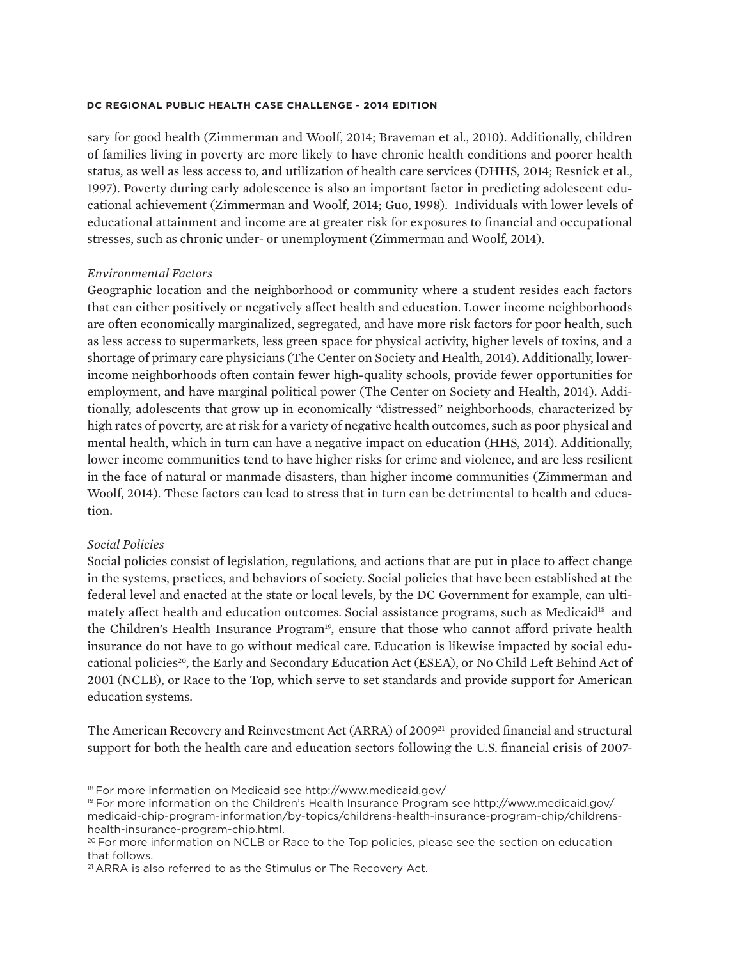sary for good health (Zimmerman and Woolf, 2014; Braveman et al., 2010). Additionally, children of families living in poverty are more likely to have chronic health conditions and poorer health status, as well as less access to, and utilization of health care services (DHHS, 2014; Resnick et al., 1997). Poverty during early adolescence is also an important factor in predicting adolescent educational achievement (Zimmerman and Woolf, 2014; Guo, 1998). Individuals with lower levels of educational attainment and income are at greater risk for exposures to financial and occupational stresses, such as chronic under- or unemployment (Zimmerman and Woolf, 2014).

#### *Environmental Factors*

Geographic location and the neighborhood or community where a student resides each factors that can either positively or negatively affect health and education. Lower income neighborhoods are often economically marginalized, segregated, and have more risk factors for poor health, such as less access to supermarkets, less green space for physical activity, higher levels of toxins, and a shortage of primary care physicians (The Center on Society and Health, 2014). Additionally, lowerincome neighborhoods often contain fewer high-quality schools, provide fewer opportunities for employment, and have marginal political power (The Center on Society and Health, 2014). Additionally, adolescents that grow up in economically "distressed" neighborhoods, characterized by high rates of poverty, are at risk for a variety of negative health outcomes, such as poor physical and mental health, which in turn can have a negative impact on education (HHS, 2014). Additionally, lower income communities tend to have higher risks for crime and violence, and are less resilient in the face of natural or manmade disasters, than higher income communities (Zimmerman and Woolf, 2014). These factors can lead to stress that in turn can be detrimental to health and education.

#### *Social Policies*

Social policies consist of legislation, regulations, and actions that are put in place to affect change in the systems, practices, and behaviors of society. Social policies that have been established at the federal level and enacted at the state or local levels, by the DC Government for example, can ultimately affect health and education outcomes. Social assistance programs, such as Medicaid<sup>18</sup> and the Children's Health Insurance Program<sup>19</sup>, ensure that those who cannot afford private health insurance do not have to go without medical care. Education is likewise impacted by social educational policies<sup>20</sup>, the Early and Secondary Education Act (ESEA), or No Child Left Behind Act of 2001 (NCLB), or Race to the Top, which serve to set standards and provide support for American education systems.

The American Recovery and Reinvestment Act (ARRA) of 2009<sup>21</sup> provided financial and structural support for both the health care and education sectors following the U.S. financial crisis of 2007-

<sup>18</sup> For more information on Medicaid see http://www.medicaid.gov/

<sup>19</sup> For more information on the Children's Health Insurance Program see http://www.medicaid.gov/ medicaid-chip-program-information/by-topics/childrens-health-insurance-program-chip/childrenshealth-insurance-program-chip.html.

<sup>&</sup>lt;sup>20</sup> For more information on NCLB or Race to the Top policies, please see the section on education that follows.

<sup>21</sup> ARRA is also referred to as the Stimulus or The Recovery Act.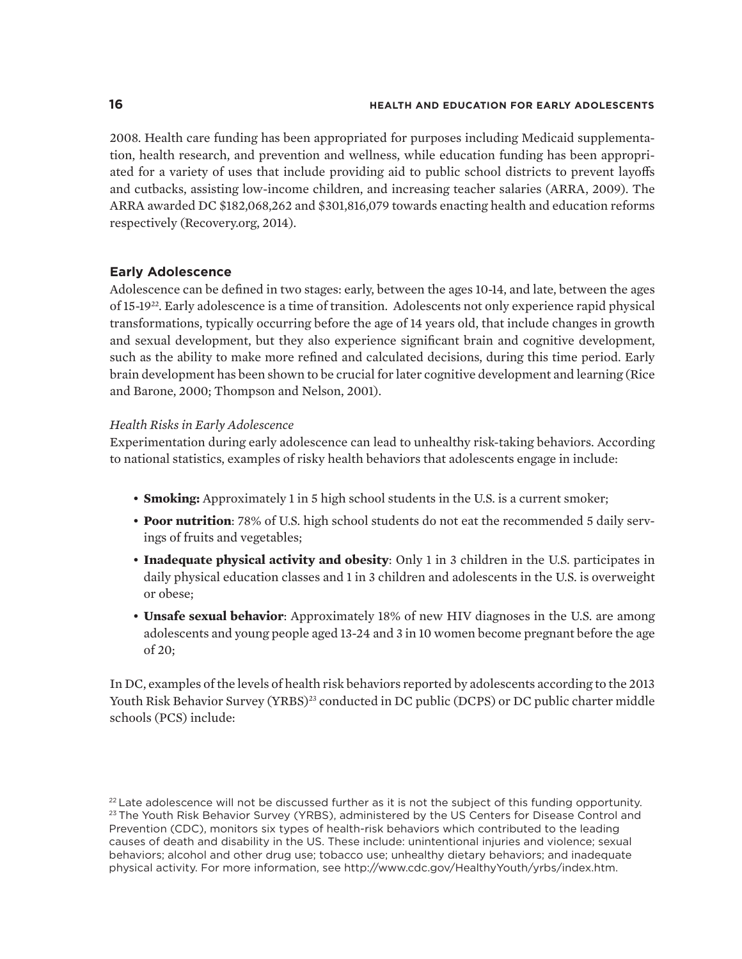2008. Health care funding has been appropriated for purposes including Medicaid supplementation, health research, and prevention and wellness, while education funding has been appropriated for a variety of uses that include providing aid to public school districts to prevent layoffs and cutbacks, assisting low-income children, and increasing teacher salaries (ARRA, 2009). The ARRA awarded DC \$182,068,262 and \$301,816,079 towards enacting health and education reforms respectively (Recovery.org, 2014).

# **Early Adolescence**

Adolescence can be defined in two stages: early, between the ages 10-14, and late, between the ages of 15-1922. Early adolescence is a time of transition. Adolescents not only experience rapid physical transformations, typically occurring before the age of 14 years old, that include changes in growth and sexual development, but they also experience significant brain and cognitive development, such as the ability to make more refined and calculated decisions, during this time period. Early brain development has been shown to be crucial for later cognitive development and learning (Rice and Barone, 2000; Thompson and Nelson, 2001).

### *Health Risks in Early Adolescence*

Experimentation during early adolescence can lead to unhealthy risk-taking behaviors. According to national statistics, examples of risky health behaviors that adolescents engage in include:

- **Smoking:** Approximately 1 in 5 high school students in the U.S. is a current smoker;
- **Poor nutrition**: 78% of U.S. high school students do not eat the recommended 5 daily servings of fruits and vegetables;
- **Inadequate physical activity and obesity**: Only 1 in 3 children in the U.S. participates in daily physical education classes and 1 in 3 children and adolescents in the U.S. is overweight or obese;
- **Unsafe sexual behavior**: Approximately 18% of new HIV diagnoses in the U.S. are among adolescents and young people aged 13-24 and 3 in 10 women become pregnant before the age of 20;

In DC, examples of the levels of health risk behaviors reported by adolescents according to the 2013 Youth Risk Behavior Survey (YRBS)<sup>23</sup> conducted in DC public (DCPS) or DC public charter middle schools (PCS) include:

 $^{22}$  Late adolescence will not be discussed further as it is not the subject of this funding opportunity. <sup>23</sup> The Youth Risk Behavior Survey (YRBS), administered by the US Centers for Disease Control and Prevention (CDC), monitors six types of health-risk behaviors which contributed to the leading causes of death and disability in the US. These include: unintentional injuries and violence; sexual behaviors; alcohol and other drug use; tobacco use; unhealthy dietary behaviors; and inadequate physical activity. For more information, see http://www.cdc.gov/HealthyYouth/yrbs/index.htm.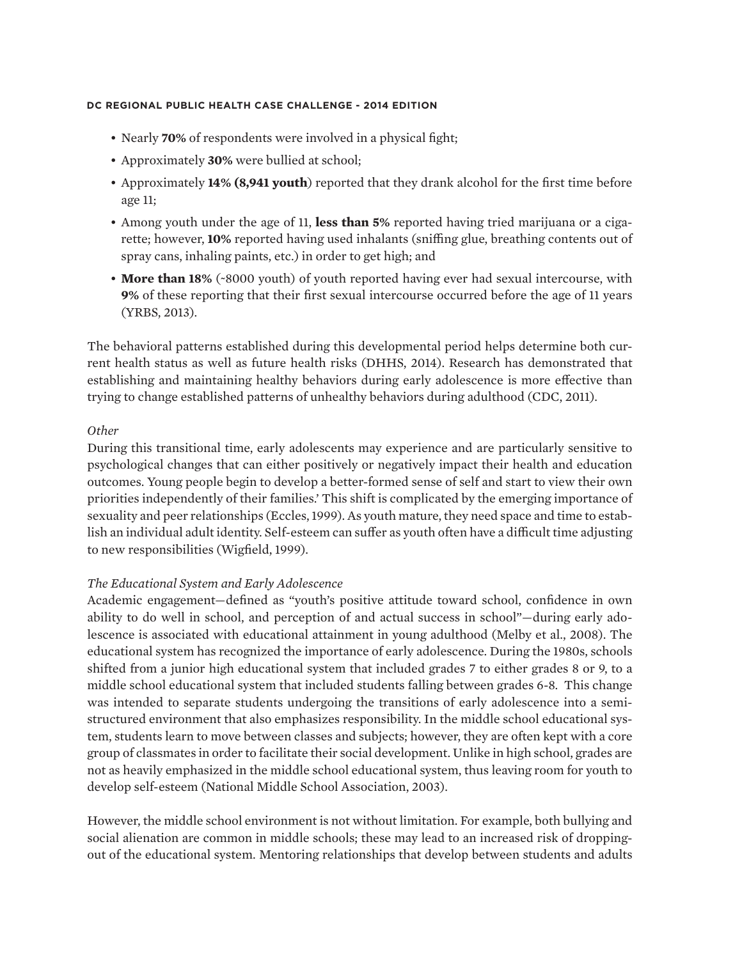- Nearly **70%** of respondents were involved in a physical fight;
- Approximately **30%** were bullied at school;
- Approximately **14% (8,941 youth**) reported that they drank alcohol for the first time before age 11;
- Among youth under the age of 11, **less than 5%** reported having tried marijuana or a cigarette; however, **10%** reported having used inhalants (sniffing glue, breathing contents out of spray cans, inhaling paints, etc.) in order to get high; and
- **More than 18%** (~8000 youth) of youth reported having ever had sexual intercourse, with **9%** of these reporting that their first sexual intercourse occurred before the age of 11 years (YRBS, 2013).

The behavioral patterns established during this developmental period helps determine both current health status as well as future health risks (DHHS, 2014). Research has demonstrated that establishing and maintaining healthy behaviors during early adolescence is more effective than trying to change established patterns of unhealthy behaviors during adulthood (CDC, 2011).

#### *Other*

During this transitional time, early adolescents may experience and are particularly sensitive to psychological changes that can either positively or negatively impact their health and education outcomes. Young people begin to develop a better-formed sense of self and start to view their own priorities independently of their families.' This shift is complicated by the emerging importance of sexuality and peer relationships (Eccles, 1999). As youth mature, they need space and time to establish an individual adult identity. Self-esteem can suffer as youth often have a difficult time adjusting to new responsibilities (Wigfield, 1999).

## *The Educational System and Early Adolescence*

Academic engagement—defined as "youth's positive attitude toward school, confidence in own ability to do well in school, and perception of and actual success in school"—during early adolescence is associated with educational attainment in young adulthood (Melby et al., 2008). The educational system has recognized the importance of early adolescence. During the 1980s, schools shifted from a junior high educational system that included grades 7 to either grades 8 or 9, to a middle school educational system that included students falling between grades 6-8. This change was intended to separate students undergoing the transitions of early adolescence into a semistructured environment that also emphasizes responsibility. In the middle school educational system, students learn to move between classes and subjects; however, they are often kept with a core group of classmates in order to facilitate their social development. Unlike in high school, grades are not as heavily emphasized in the middle school educational system, thus leaving room for youth to develop self-esteem (National Middle School Association, 2003).

However, the middle school environment is not without limitation. For example, both bullying and social alienation are common in middle schools; these may lead to an increased risk of droppingout of the educational system. Mentoring relationships that develop between students and adults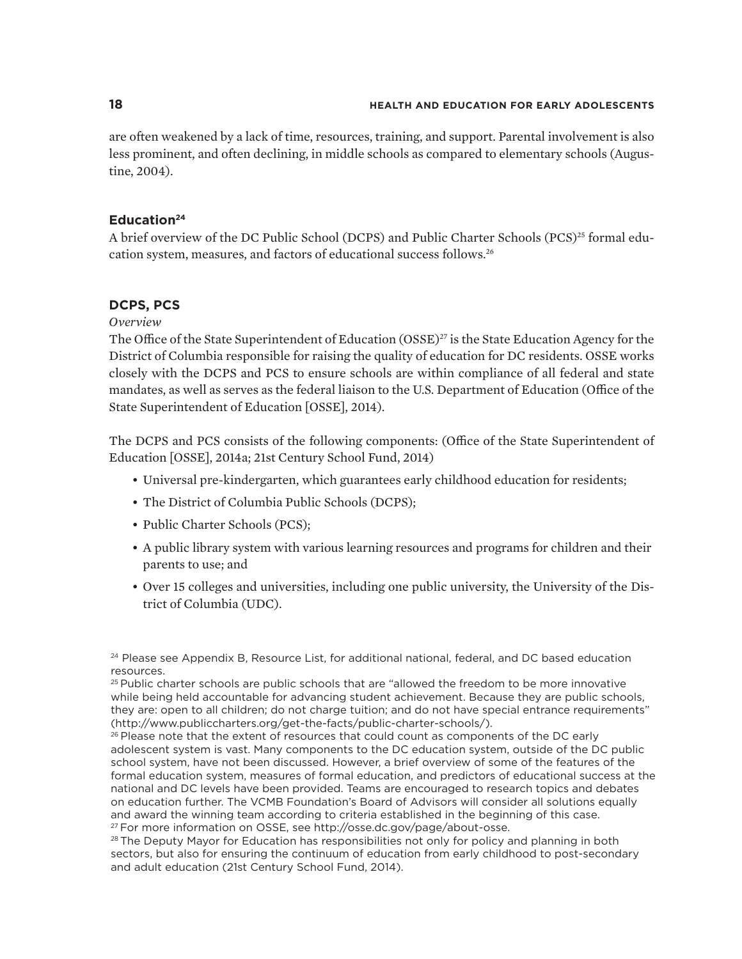are often weakened by a lack of time, resources, training, and support. Parental involvement is also less prominent, and often declining, in middle schools as compared to elementary schools (Augustine, 2004).

## **Education24**

A brief overview of the DC Public School (DCPS) and Public Charter Schools (PCS)<sup>25</sup> formal education system, measures, and factors of educational success follows.26

# **DCPS, PCS**

### *Overview*

The Office of the State Superintendent of Education (OSSE)<sup>27</sup> is the State Education Agency for the District of Columbia responsible for raising the quality of education for DC residents. OSSE works closely with the DCPS and PCS to ensure schools are within compliance of all federal and state mandates, as well as serves as the federal liaison to the U.S. Department of Education (Office of the State Superintendent of Education [OSSE], 2014).

The DCPS and PCS consists of the following components: (Office of the State Superintendent of Education [OSSE], 2014a; 21st Century School Fund, 2014)

- Universal pre-kindergarten, which guarantees early childhood education for residents;
- The District of Columbia Public Schools (DCPS);
- Public Charter Schools (PCS);
- A public library system with various learning resources and programs for children and their parents to use; and
- Over 15 colleges and universities, including one public university, the University of the District of Columbia (UDC).

<sup>25</sup> Public charter schools are public schools that are "allowed the freedom to be more innovative while being held accountable for advancing student achievement. Because they are public schools, they are: open to all children; do not charge tuition; and do not have special entrance requirements" (http://www.publiccharters.org/get-the-facts/public-charter-schools/).

 $26$  Please note that the extent of resources that could count as components of the DC early adolescent system is vast. Many components to the DC education system, outside of the DC public school system, have not been discussed. However, a brief overview of some of the features of the formal education system, measures of formal education, and predictors of educational success at the national and DC levels have been provided. Teams are encouraged to research topics and debates on education further. The VCMB Foundation's Board of Advisors will consider all solutions equally and award the winning team according to criteria established in the beginning of this case. 27 For more information on OSSE, see http://osse.dc.gov/page/about-osse.

<sup>28</sup> The Deputy Mayor for Education has responsibilities not only for policy and planning in both sectors, but also for ensuring the continuum of education from early childhood to post-secondary and adult education (21st Century School Fund, 2014).

<sup>&</sup>lt;sup>24</sup> Please see Appendix B, Resource List, for additional national, federal, and DC based education resources.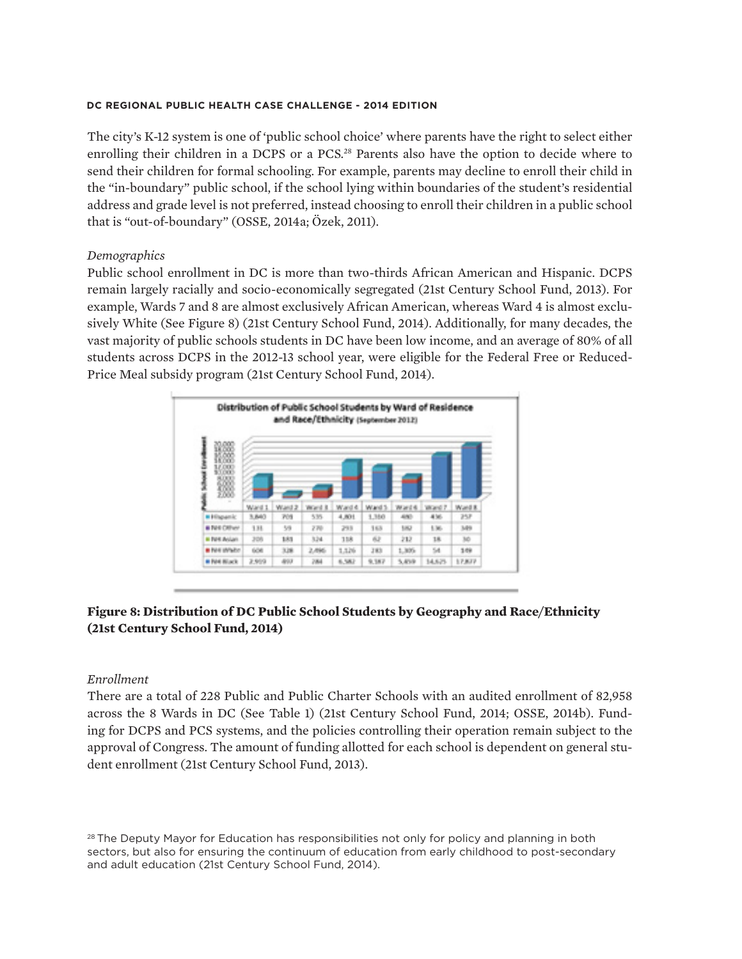The city's K-12 system is one of 'public school choice' where parents have the right to select either enrolling their children in a DCPS or a PCS.<sup>28</sup> Parents also have the option to decide where to send their children for formal schooling. For example, parents may decline to enroll their child in the "in-boundary" public school, if the school lying within boundaries of the student's residential address and grade level is not preferred, instead choosing to enroll their children in a public school that is "out-of-boundary" (OSSE, 2014a; Özek, 2011).

## *Demographics*

Public school enrollment in DC is more than two-thirds African American and Hispanic. DCPS remain largely racially and socio-economically segregated (21st Century School Fund, 2013). For example, Wards 7 and 8 are almost exclusively African American, whereas Ward 4 is almost exclusively White (See Figure 8) (21st Century School Fund, 2014). Additionally, for many decades, the vast majority of public schools students in DC have been low income, and an average of 80% of all students across DCPS in the 2012-13 school year, were eligible for the Federal Free or Reduced-Price Meal subsidy program (21st Century School Fund, 2014).



# **Figure 8: Distribution of DC Public School Students by Geography and Race/Ethnicity (21st Century School Fund, 2014)**

### *Enrollment*

There are a total of 228 Public and Public Charter Schools with an audited enrollment of 82,958 across the 8 Wards in DC (See Table 1) (21st Century School Fund, 2014; OSSE, 2014b). Funding for DCPS and PCS systems, and the policies controlling their operation remain subject to the approval of Congress. The amount of funding allotted for each school is dependent on general student enrollment (21st Century School Fund, 2013).

<sup>28</sup> The Deputy Mayor for Education has responsibilities not only for policy and planning in both sectors, but also for ensuring the continuum of education from early childhood to post-secondary and adult education (21st Century School Fund, 2014).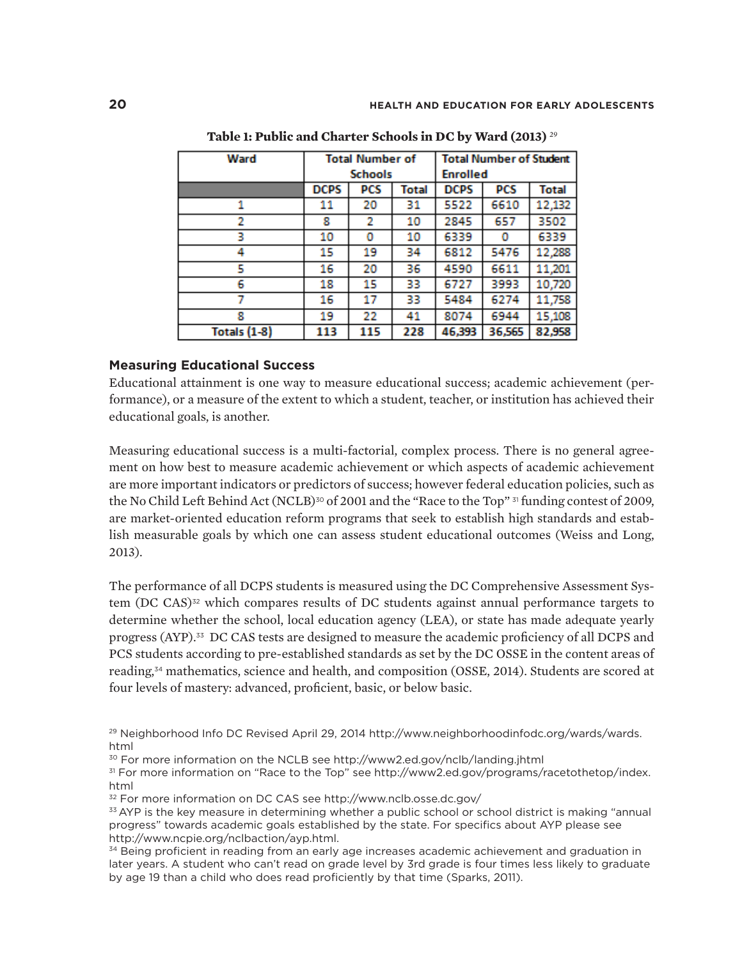| Ward                | <b>Total Number of</b> |     |       | <b>Total Number of Student</b> |        |        |  |
|---------------------|------------------------|-----|-------|--------------------------------|--------|--------|--|
|                     | <b>Schools</b>         |     |       | <b>Enrolled</b>                |        |        |  |
|                     | <b>DCPS</b>            | PCS | Total | <b>DCPS</b>                    | PCS    | Total  |  |
|                     | 11                     | 20  | 31    | 5522                           | 6610   | 12,132 |  |
| 2                   | 8                      | 2   | 10    | 2845                           | 657    | 3502   |  |
| з                   | 10                     | ٥   | 10    | 6339                           | 0      | 6339   |  |
| 4                   | 15                     | 19  | 34    | 6812                           | 5476   | 12,288 |  |
| 5                   | 16                     | 20  | 36    | 4590                           | 6611   | 11,201 |  |
| 6                   | 18                     | 15  | 33    | 6727                           | 3993   | 10,720 |  |
|                     | 16                     | 17  | 33    | 5484                           | 6274   | 11,758 |  |
| 8                   | 19                     | 22  | 41    | 8074                           | 6944   | 15,108 |  |
| <b>Totals (1-8)</b> | 113                    | 115 | 228   | 46,393                         | 36,565 | 82,958 |  |

**Table 1: Public and Charter Schools in DC by Ward (2013)** <sup>29</sup>

#### **Measuring Educational Success**

Educational attainment is one way to measure educational success; academic achievement (performance), or a measure of the extent to which a student, teacher, or institution has achieved their educational goals, is another.

Measuring educational success is a multi-factorial, complex process. There is no general agreement on how best to measure academic achievement or which aspects of academic achievement are more important indicators or predictors of success; however federal education policies, such as the No Child Left Behind Act (NCLB)<sup>30</sup> of 2001 and the "Race to the Top"  $\frac{31}{31}$  funding contest of 2009, are market-oriented education reform programs that seek to establish high standards and establish measurable goals by which one can assess student educational outcomes (Weiss and Long, 2013).

The performance of all DCPS students is measured using the DC Comprehensive Assessment System  $(DC CAS)^{32}$  which compares results of DC students against annual performance targets to determine whether the school, local education agency (LEA), or state has made adequate yearly progress (AYP).33 DC CAS tests are designed to measure the academic proficiency of all DCPS and PCS students according to pre-established standards as set by the DC OSSE in the content areas of reading,34 mathematics, science and health, and composition (OSSE, 2014). Students are scored at four levels of mastery: advanced, proficient, basic, or below basic.

30 For more information on the NCLB see http://www2.ed.gov/nclb/landing.jhtml

31 For more information on "Race to the Top" see http://www2.ed.gov/programs/racetothetop/index. html

32 For more information on DC CAS see http://www.nclb.osse.dc.gov/

<sup>&</sup>lt;sup>29</sup> Neighborhood Info DC Revised April 29, 2014 http://www.neighborhoodinfodc.org/wards/wards. html

<sup>&</sup>lt;sup>33</sup> AYP is the key measure in determining whether a public school or school district is making "annual progress" towards academic goals established by the state. For specifics about AYP please see http://www.ncpie.org/nclbaction/ayp.html.

 $34$  Being proficient in reading from an early age increases academic achievement and graduation in later years. A student who can't read on grade level by 3rd grade is four times less likely to graduate by age 19 than a child who does read proficiently by that time (Sparks, 2011).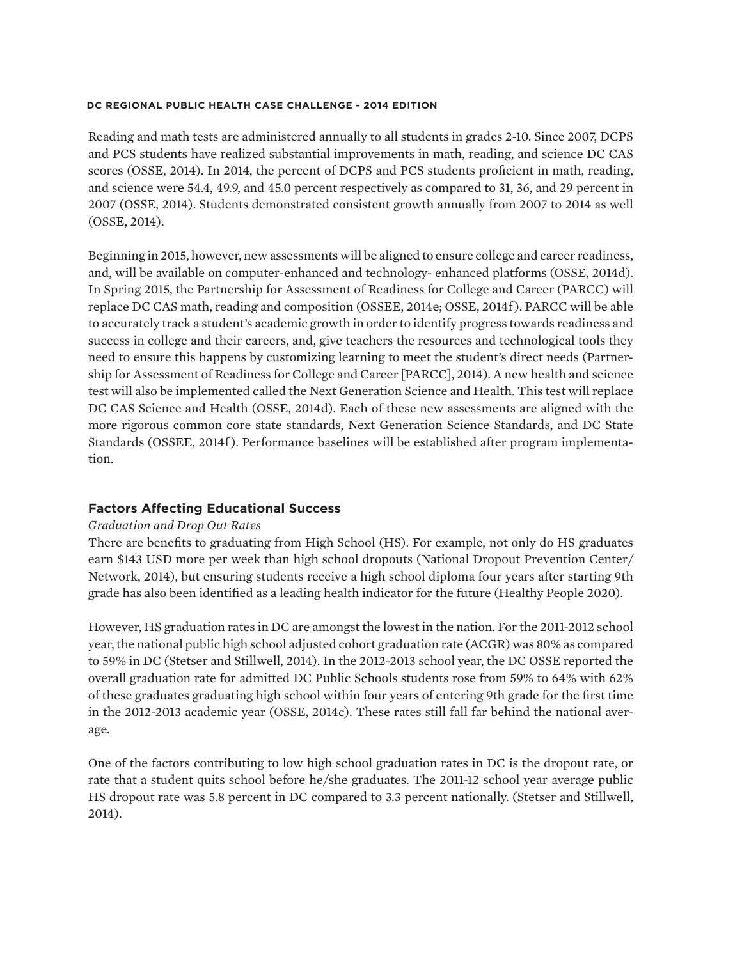Reading and math tests are administered annually to all students in grades 2-10. Since 2007, DCPS and PCS students have realized substantial improvements in math, reading, and science DC CAS scores (OSSE, 2014). In 2014, the percent of DCPS and PCS students proficient in math, reading, and science were 54.4, 49.9, and 45.0 percent respectively as compared to 31, 36, and 29 percent in 2007 (OSSE, 2014). Students demonstrated consistent growth annually from 2007 to 2014 as well (OSSE, 2014).

Beginning in 2015, however, new assessments will be aligned to ensure college and career readiness, and, will be available on computer-enhanced and technology- enhanced platforms (OSSE, 2014d). In Spring 2015, the Partnership for Assessment of Readiness for College and Career (PARCC) will replace DC CAS math, reading and composition (OSSEE, 2014e; OSSE, 2014f ). PARCC will be able to accurately track a student's academic growth in order to identify progress towards readiness and success in college and their careers, and, give teachers the resources and technological tools they need to ensure this happens by customizing learning to meet the student's direct needs (Partnership for Assessment of Readiness for College and Career [PARCC], 2014). A new health and science test will also be implemented called the Next Generation Science and Health. This test will replace DC CAS Science and Health (OSSE, 2014d). Each of these new assessments are aligned with the more rigorous common core state standards, Next Generation Science Standards, and DC State Standards (OSSEE, 2014f). Performance baselines will be established after program implementation.

### **Factors Affecting Educational Success**

#### *Graduation and Drop Out Rates*

There are benefits to graduating from High School (HS). For example, not only do HS graduates earn \$143 USD more per week than high school dropouts (National Dropout Prevention Center/ Network, 2014), but ensuring students receive a high school diploma four years after starting 9th grade has also been identified as a leading health indicator for the future (Healthy People 2020).

However, HS graduation rates in DC are amongst the lowest in the nation. For the 2011-2012 school year, the national public high school adjusted cohort graduation rate (ACGR) was 80% as compared to 59% in DC (Stetser and Stillwell, 2014). In the 2012-2013 school year, the DC OSSE reported the overall graduation rate for admitted DC Public Schools students rose from 59% to 64% with 62% of these graduates graduating high school within four years of entering 9th grade for the first time in the 2012-2013 academic year (OSSE, 2014c). These rates still fall far behind the national average.

One of the factors contributing to low high school graduation rates in DC is the dropout rate, or rate that a student quits school before he/she graduates. The 2011-12 school year average public HS dropout rate was 5.8 percent in DC compared to 3.3 percent nationally. (Stetser and Stillwell, 2014).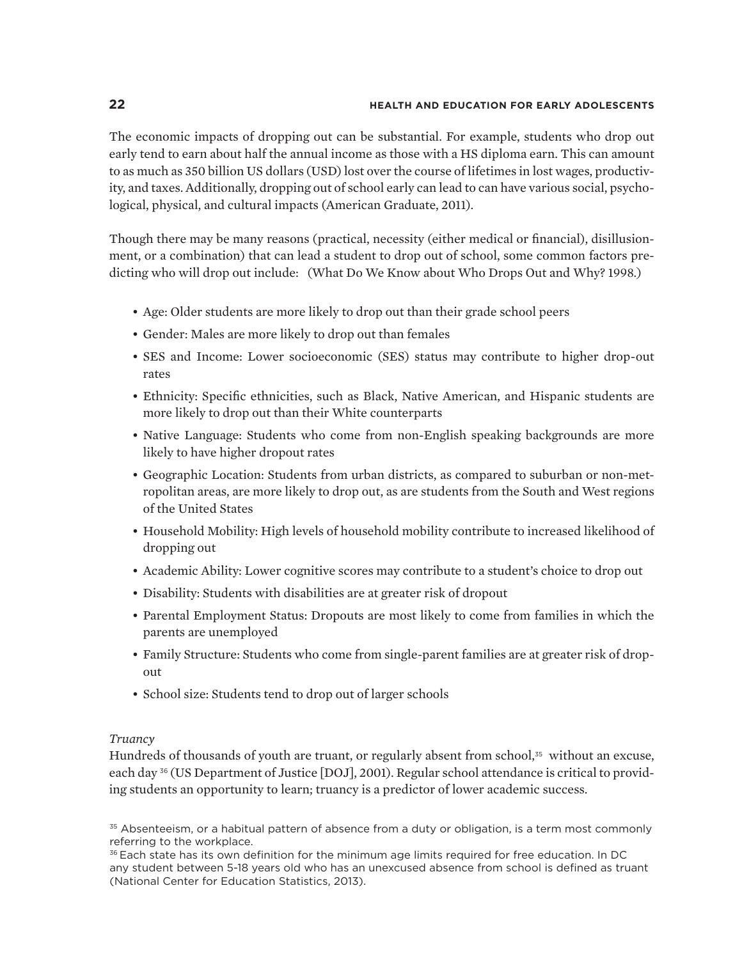The economic impacts of dropping out can be substantial. For example, students who drop out early tend to earn about half the annual income as those with a HS diploma earn. This can amount to as much as 350 billion US dollars (USD) lost over the course of lifetimes in lost wages, productivity, and taxes. Additionally, dropping out of school early can lead to can have various social, psychological, physical, and cultural impacts (American Graduate, 2011).

Though there may be many reasons (practical, necessity (either medical or financial), disillusionment, or a combination) that can lead a student to drop out of school, some common factors predicting who will drop out include: (What Do We Know about Who Drops Out and Why? 1998.)

- Age: Older students are more likely to drop out than their grade school peers
- Gender: Males are more likely to drop out than females
- SES and Income: Lower socioeconomic (SES) status may contribute to higher drop-out rates
- Ethnicity: Specific ethnicities, such as Black, Native American, and Hispanic students are more likely to drop out than their White counterparts
- Native Language: Students who come from non-English speaking backgrounds are more likely to have higher dropout rates
- Geographic Location: Students from urban districts, as compared to suburban or non-metropolitan areas, are more likely to drop out, as are students from the South and West regions of the United States
- Household Mobility: High levels of household mobility contribute to increased likelihood of dropping out
- Academic Ability: Lower cognitive scores may contribute to a student's choice to drop out
- Disability: Students with disabilities are at greater risk of dropout
- Parental Employment Status: Dropouts are most likely to come from families in which the parents are unemployed
- Family Structure: Students who come from single-parent families are at greater risk of dropout
- School size: Students tend to drop out of larger schools

#### *Truancy*

Hundreds of thousands of youth are truant, or regularly absent from school,<sup>35</sup> without an excuse, each day <sup>36</sup> (US Department of Justice [DOJ], 2001). Regular school attendance is critical to providing students an opportunity to learn; truancy is a predictor of lower academic success.

<sup>35</sup> Absenteeism, or a habitual pattern of absence from a duty or obligation, is a term most commonly referring to the workplace.

<sup>36</sup> Each state has its own definition for the minimum age limits required for free education. In DC any student between 5-18 years old who has an unexcused absence from school is defined as truant (National Center for Education Statistics, 2013).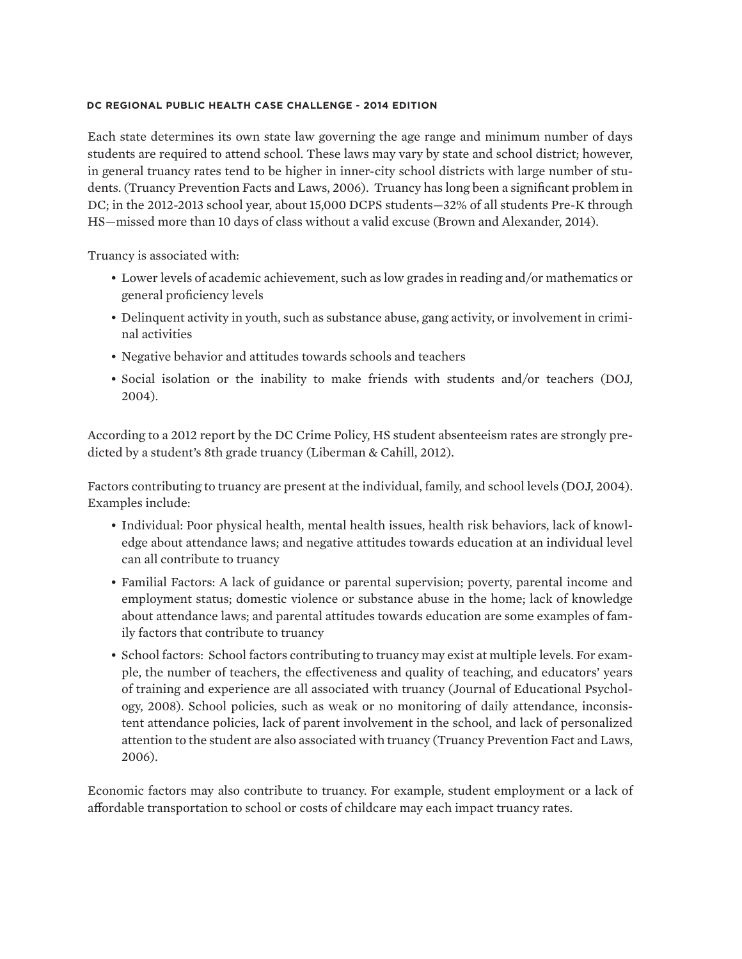Each state determines its own state law governing the age range and minimum number of days students are required to attend school. These laws may vary by state and school district; however, in general truancy rates tend to be higher in inner-city school districts with large number of students. (Truancy Prevention Facts and Laws, 2006). Truancy has long been a significant problem in DC; in the 2012-2013 school year, about 15,000 DCPS students—32% of all students Pre-K through HS—missed more than 10 days of class without a valid excuse (Brown and Alexander, 2014).

Truancy is associated with:

- Lower levels of academic achievement, such as low grades in reading and/or mathematics or general proficiency levels
- Delinquent activity in youth, such as substance abuse, gang activity, or involvement in criminal activities
- Negative behavior and attitudes towards schools and teachers
- Social isolation or the inability to make friends with students and/or teachers (DOJ, 2004).

According to a 2012 report by the DC Crime Policy, HS student absenteeism rates are strongly predicted by a student's 8th grade truancy (Liberman & Cahill, 2012).

Factors contributing to truancy are present at the individual, family, and school levels (DOJ, 2004). Examples include:

- Individual: Poor physical health, mental health issues, health risk behaviors, lack of knowledge about attendance laws; and negative attitudes towards education at an individual level can all contribute to truancy
- Familial Factors: A lack of guidance or parental supervision; poverty, parental income and employment status; domestic violence or substance abuse in the home; lack of knowledge about attendance laws; and parental attitudes towards education are some examples of family factors that contribute to truancy
- School factors: School factors contributing to truancy may exist at multiple levels. For example, the number of teachers, the effectiveness and quality of teaching, and educators' years of training and experience are all associated with truancy (Journal of Educational Psychology, 2008). School policies, such as weak or no monitoring of daily attendance, inconsistent attendance policies, lack of parent involvement in the school, and lack of personalized attention to the student are also associated with truancy (Truancy Prevention Fact and Laws, 2006).

Economic factors may also contribute to truancy. For example, student employment or a lack of affordable transportation to school or costs of childcare may each impact truancy rates.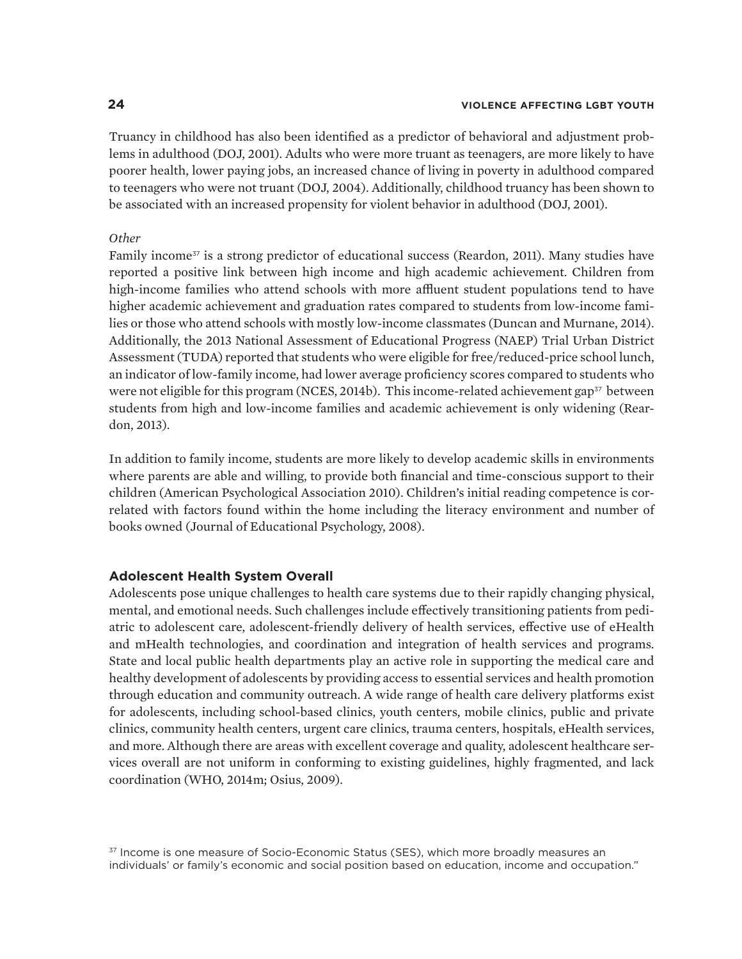#### **24 VIOLENCE AFFECTING LGBT YOUTH**

Truancy in childhood has also been identified as a predictor of behavioral and adjustment problems in adulthood (DOJ, 2001). Adults who were more truant as teenagers, are more likely to have poorer health, lower paying jobs, an increased chance of living in poverty in adulthood compared to teenagers who were not truant (DOJ, 2004). Additionally, childhood truancy has been shown to be associated with an increased propensity for violent behavior in adulthood (DOJ, 2001).

#### *Other*

Family income<sup>37</sup> is a strong predictor of educational success (Reardon, 2011). Many studies have reported a positive link between high income and high academic achievement. Children from high-income families who attend schools with more affluent student populations tend to have higher academic achievement and graduation rates compared to students from low-income families or those who attend schools with mostly low-income classmates (Duncan and Murnane, 2014). Additionally, the 2013 National Assessment of Educational Progress (NAEP) Trial Urban District Assessment (TUDA) reported that students who were eligible for free/reduced-price school lunch, an indicator of low-family income, had lower average proficiency scores compared to students who were not eligible for this program (NCES, 2014b). This income-related achievement gap<sup>37</sup> between students from high and low-income families and academic achievement is only widening (Reardon, 2013).

In addition to family income, students are more likely to develop academic skills in environments where parents are able and willing, to provide both financial and time-conscious support to their children (American Psychological Association 2010). Children's initial reading competence is correlated with factors found within the home including the literacy environment and number of books owned (Journal of Educational Psychology, 2008).

#### **Adolescent Health System Overall**

Adolescents pose unique challenges to health care systems due to their rapidly changing physical, mental, and emotional needs. Such challenges include effectively transitioning patients from pediatric to adolescent care, adolescent-friendly delivery of health services, effective use of eHealth and mHealth technologies, and coordination and integration of health services and programs. State and local public health departments play an active role in supporting the medical care and healthy development of adolescents by providing access to essential services and health promotion through education and community outreach. A wide range of health care delivery platforms exist for adolescents, including school-based clinics, youth centers, mobile clinics, public and private clinics, community health centers, urgent care clinics, trauma centers, hospitals, eHealth services, and more. Although there are areas with excellent coverage and quality, adolescent healthcare services overall are not uniform in conforming to existing guidelines, highly fragmented, and lack coordination (WHO, 2014m; Osius, 2009).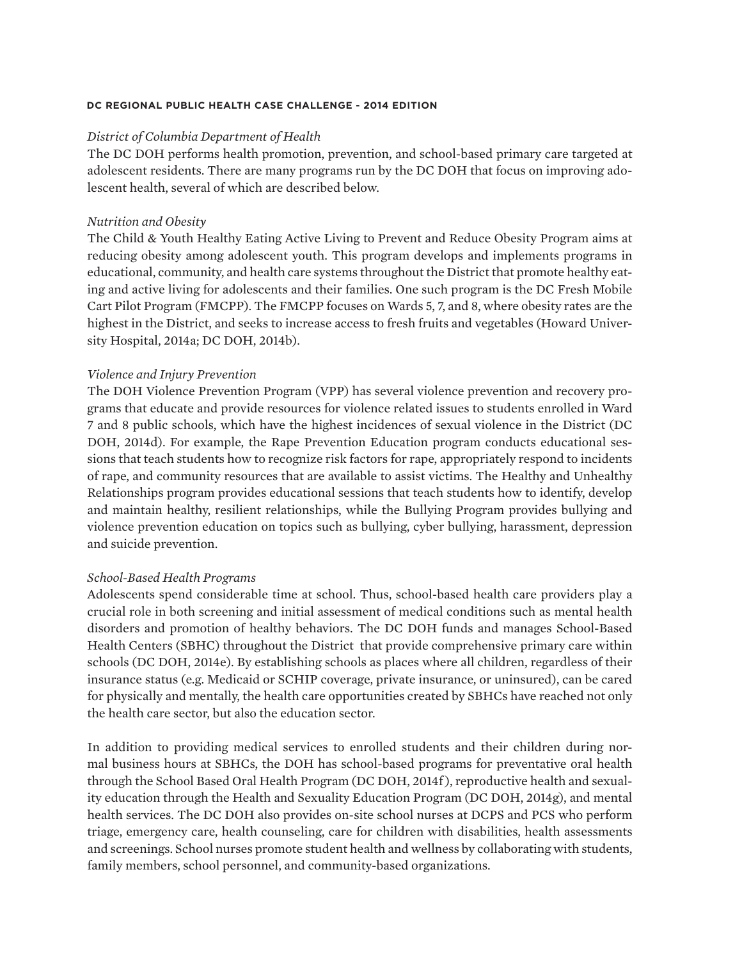#### *District of Columbia Department of Health*

The DC DOH performs health promotion, prevention, and school-based primary care targeted at adolescent residents. There are many programs run by the DC DOH that focus on improving adolescent health, several of which are described below.

#### *Nutrition and Obesity*

The Child & Youth Healthy Eating Active Living to Prevent and Reduce Obesity Program aims at reducing obesity among adolescent youth. This program develops and implements programs in educational, community, and health care systems throughout the District that promote healthy eating and active living for adolescents and their families. One such program is the DC Fresh Mobile Cart Pilot Program (FMCPP). The FMCPP focuses on Wards 5, 7, and 8, where obesity rates are the highest in the District, and seeks to increase access to fresh fruits and vegetables (Howard University Hospital, 2014a; DC DOH, 2014b).

#### *Violence and Injury Prevention*

The DOH Violence Prevention Program (VPP) has several violence prevention and recovery programs that educate and provide resources for violence related issues to students enrolled in Ward 7 and 8 public schools, which have the highest incidences of sexual violence in the District (DC DOH, 2014d). For example, the Rape Prevention Education program conducts educational sessions that teach students how to recognize risk factors for rape, appropriately respond to incidents of rape, and community resources that are available to assist victims. The Healthy and Unhealthy Relationships program provides educational sessions that teach students how to identify, develop and maintain healthy, resilient relationships, while the Bullying Program provides bullying and violence prevention education on topics such as bullying, cyber bullying, harassment, depression and suicide prevention.

### *School-Based Health Programs*

Adolescents spend considerable time at school. Thus, school-based health care providers play a crucial role in both screening and initial assessment of medical conditions such as mental health disorders and promotion of healthy behaviors. The DC DOH funds and manages School-Based Health Centers (SBHC) throughout the District that provide comprehensive primary care within schools (DC DOH, 2014e). By establishing schools as places where all children, regardless of their insurance status (e.g. Medicaid or SCHIP coverage, private insurance, or uninsured), can be cared for physically and mentally, the health care opportunities created by SBHCs have reached not only the health care sector, but also the education sector.

In addition to providing medical services to enrolled students and their children during normal business hours at SBHCs, the DOH has school-based programs for preventative oral health through the School Based Oral Health Program (DC DOH, 2014f ), reproductive health and sexuality education through the Health and Sexuality Education Program (DC DOH, 2014g), and mental health services. The DC DOH also provides on-site school nurses at DCPS and PCS who perform triage, emergency care, health counseling, care for children with disabilities, health assessments and screenings. School nurses promote student health and wellness by collaborating with students, family members, school personnel, and community-based organizations.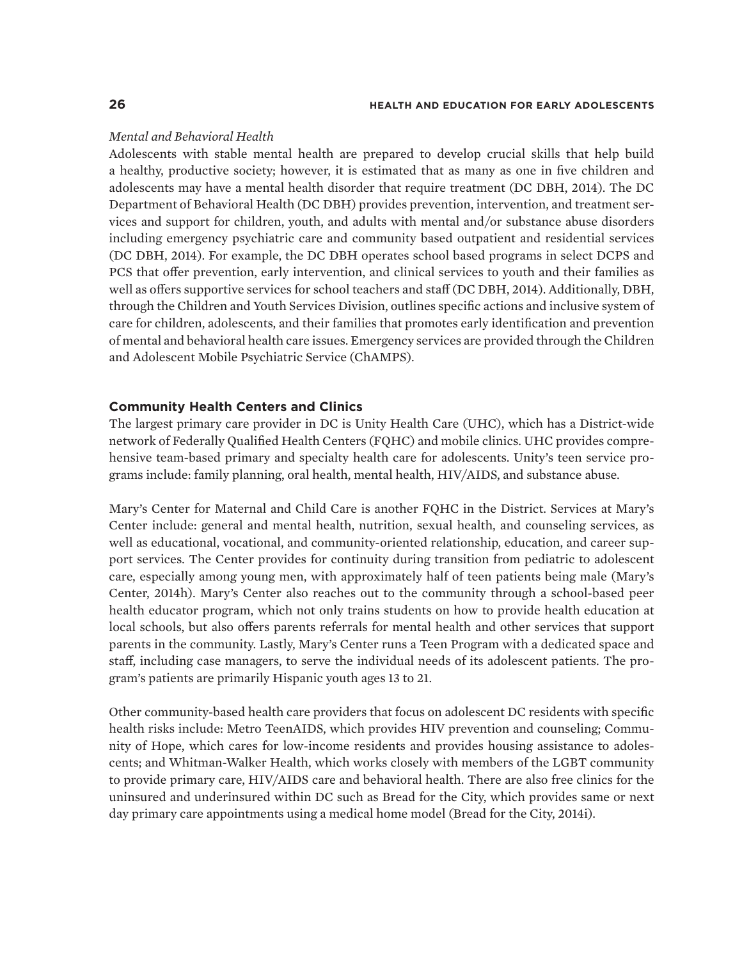#### *Mental and Behavioral Health*

Adolescents with stable mental health are prepared to develop crucial skills that help build a healthy, productive society; however, it is estimated that as many as one in five children and adolescents may have a mental health disorder that require treatment (DC DBH, 2014). The DC Department of Behavioral Health (DC DBH) provides prevention, intervention, and treatment services and support for children, youth, and adults with mental and/or substance abuse disorders including emergency psychiatric care and community based outpatient and residential services (DC DBH, 2014). For example, the DC DBH operates school based programs in select DCPS and PCS that offer prevention, early intervention, and clinical services to youth and their families as well as offers supportive services for school teachers and staff (DC DBH, 2014). Additionally, DBH, through the Children and Youth Services Division, outlines specific actions and inclusive system of care for children, adolescents, and their families that promotes early identification and prevention of mental and behavioral health care issues. Emergency services are provided through the Children and Adolescent Mobile Psychiatric Service (ChAMPS).

#### **Community Health Centers and Clinics**

The largest primary care provider in DC is Unity Health Care (UHC), which has a District-wide network of Federally Qualified Health Centers (FQHC) and mobile clinics. UHC provides comprehensive team-based primary and specialty health care for adolescents. Unity's teen service programs include: family planning, oral health, mental health, HIV/AIDS, and substance abuse.

Mary's Center for Maternal and Child Care is another FQHC in the District. Services at Mary's Center include: general and mental health, nutrition, sexual health, and counseling services, as well as educational, vocational, and community-oriented relationship, education, and career support services. The Center provides for continuity during transition from pediatric to adolescent care, especially among young men, with approximately half of teen patients being male (Mary's Center, 2014h). Mary's Center also reaches out to the community through a school-based peer health educator program, which not only trains students on how to provide health education at local schools, but also offers parents referrals for mental health and other services that support parents in the community. Lastly, Mary's Center runs a Teen Program with a dedicated space and staff, including case managers, to serve the individual needs of its adolescent patients. The program's patients are primarily Hispanic youth ages 13 to 21.

Other community-based health care providers that focus on adolescent DC residents with specific health risks include: Metro TeenAIDS, which provides HIV prevention and counseling; Community of Hope, which cares for low-income residents and provides housing assistance to adolescents; and Whitman-Walker Health, which works closely with members of the LGBT community to provide primary care, HIV/AIDS care and behavioral health. There are also free clinics for the uninsured and underinsured within DC such as Bread for the City, which provides same or next day primary care appointments using a medical home model (Bread for the City, 2014i).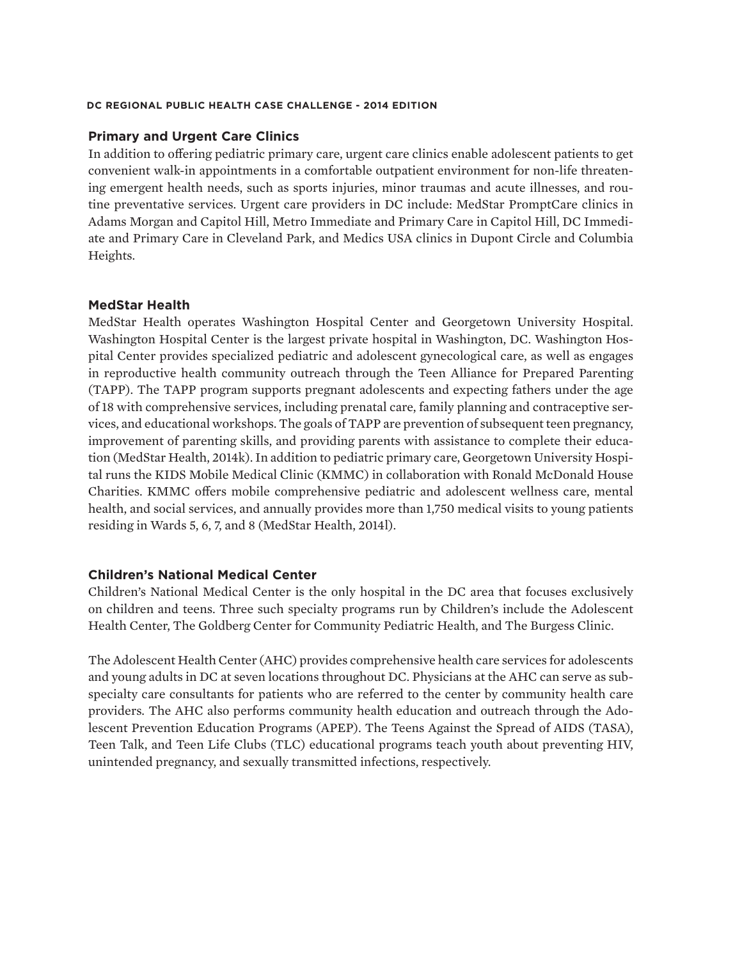#### **Primary and Urgent Care Clinics**

In addition to offering pediatric primary care, urgent care clinics enable adolescent patients to get convenient walk-in appointments in a comfortable outpatient environment for non-life threatening emergent health needs, such as sports injuries, minor traumas and acute illnesses, and routine preventative services. Urgent care providers in DC include: MedStar PromptCare clinics in Adams Morgan and Capitol Hill, Metro Immediate and Primary Care in Capitol Hill, DC Immediate and Primary Care in Cleveland Park, and Medics USA clinics in Dupont Circle and Columbia Heights.

#### **MedStar Health**

MedStar Health operates Washington Hospital Center and Georgetown University Hospital. Washington Hospital Center is the largest private hospital in Washington, DC. Washington Hospital Center provides specialized pediatric and adolescent gynecological care, as well as engages in reproductive health community outreach through the Teen Alliance for Prepared Parenting (TAPP). The TAPP program supports pregnant adolescents and expecting fathers under the age of 18 with comprehensive services, including prenatal care, family planning and contraceptive services, and educational workshops. The goals of TAPP are prevention of subsequent teen pregnancy, improvement of parenting skills, and providing parents with assistance to complete their education (MedStar Health, 2014k). In addition to pediatric primary care, Georgetown University Hospital runs the KIDS Mobile Medical Clinic (KMMC) in collaboration with Ronald McDonald House Charities. KMMC offers mobile comprehensive pediatric and adolescent wellness care, mental health, and social services, and annually provides more than 1,750 medical visits to young patients residing in Wards 5, 6, 7, and 8 (MedStar Health, 2014l).

#### **Children's National Medical Center**

Children's National Medical Center is the only hospital in the DC area that focuses exclusively on children and teens. Three such specialty programs run by Children's include the Adolescent Health Center, The Goldberg Center for Community Pediatric Health, and The Burgess Clinic.

The Adolescent Health Center (AHC) provides comprehensive health care services for adolescents and young adults in DC at seven locations throughout DC. Physicians at the AHC can serve as subspecialty care consultants for patients who are referred to the center by community health care providers. The AHC also performs community health education and outreach through the Adolescent Prevention Education Programs (APEP). The Teens Against the Spread of AIDS (TASA), Teen Talk, and Teen Life Clubs (TLC) educational programs teach youth about preventing HIV, unintended pregnancy, and sexually transmitted infections, respectively.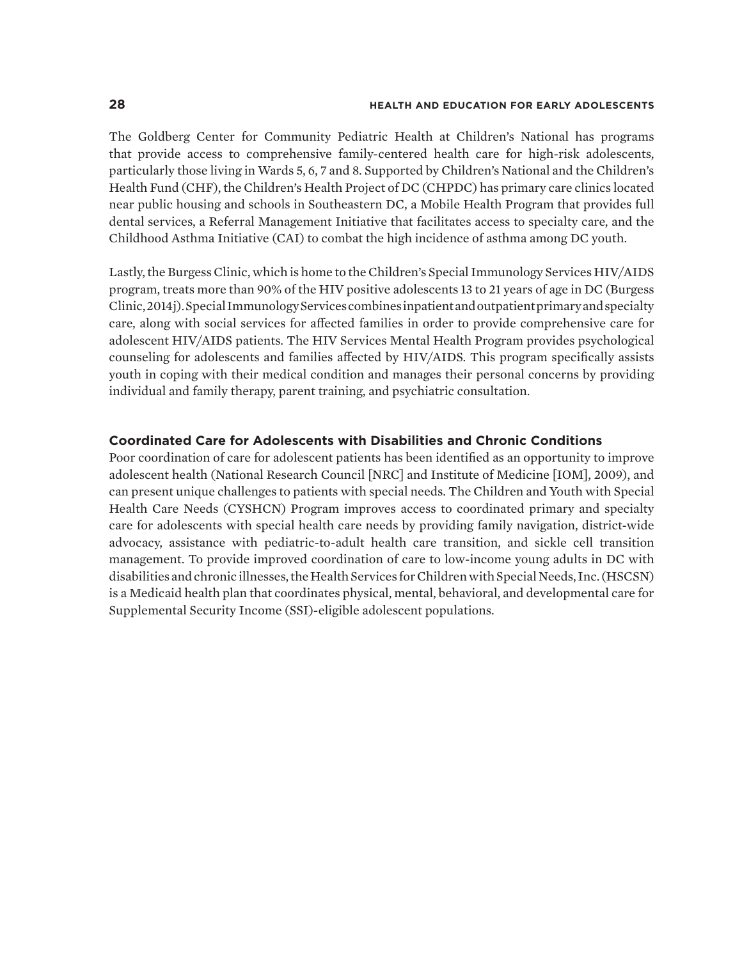The Goldberg Center for Community Pediatric Health at Children's National has programs that provide access to comprehensive family-centered health care for high-risk adolescents, particularly those living in Wards 5, 6, 7 and 8. Supported by Children's National and the Children's Health Fund (CHF), the Children's Health Project of DC (CHPDC) has primary care clinics located near public housing and schools in Southeastern DC, a Mobile Health Program that provides full dental services, a Referral Management Initiative that facilitates access to specialty care, and the Childhood Asthma Initiative (CAI) to combat the high incidence of asthma among DC youth.

Lastly, the Burgess Clinic, which is home to the Children's Special Immunology Services HIV/AIDS program, treats more than 90% of the HIV positive adolescents 13 to 21 years of age in DC (Burgess Clinic, 2014j). Special Immunology Services combines inpatient and outpatient primary and specialty care, along with social services for affected families in order to provide comprehensive care for adolescent HIV/AIDS patients. The HIV Services Mental Health Program provides psychological counseling for adolescents and families affected by HIV/AIDS. This program specifically assists youth in coping with their medical condition and manages their personal concerns by providing individual and family therapy, parent training, and psychiatric consultation.

#### **Coordinated Care for Adolescents with Disabilities and Chronic Conditions**

Poor coordination of care for adolescent patients has been identified as an opportunity to improve adolescent health (National Research Council [NRC] and Institute of Medicine [IOM], 2009), and can present unique challenges to patients with special needs. The Children and Youth with Special Health Care Needs (CYSHCN) Program improves access to coordinated primary and specialty care for adolescents with special health care needs by providing family navigation, district-wide advocacy, assistance with pediatric-to-adult health care transition, and sickle cell transition management. To provide improved coordination of care to low-income young adults in DC with disabilities and chronic illnesses, the Health Services for Children with Special Needs, Inc. (HSCSN) is a Medicaid health plan that coordinates physical, mental, behavioral, and developmental care for Supplemental Security Income (SSI)-eligible adolescent populations.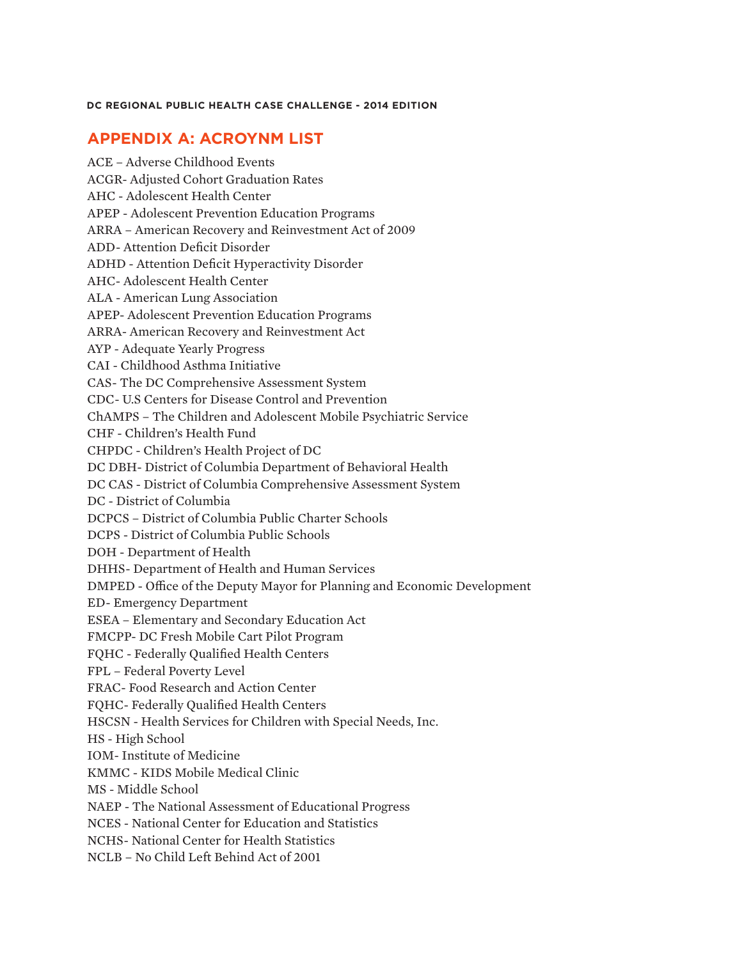# **APPENDIX A: ACROYNM LIST**

ACE – Adverse Childhood Events ACGR- Adjusted Cohort Graduation Rates AHC - Adolescent Health Center APEP - Adolescent Prevention Education Programs ARRA – American Recovery and Reinvestment Act of 2009 ADD- Attention Deficit Disorder ADHD - Attention Deficit Hyperactivity Disorder AHC- Adolescent Health Center ALA - American Lung Association APEP- Adolescent Prevention Education Programs ARRA- American Recovery and Reinvestment Act AYP - Adequate Yearly Progress CAI - Childhood Asthma Initiative CAS- The DC Comprehensive Assessment System CDC- U.S Centers for Disease Control and Prevention ChAMPS – The Children and Adolescent Mobile Psychiatric Service CHF - Children's Health Fund CHPDC - Children's Health Project of DC DC DBH- District of Columbia Department of Behavioral Health DC CAS - District of Columbia Comprehensive Assessment System DC - District of Columbia DCPCS – District of Columbia Public Charter Schools DCPS - District of Columbia Public Schools DOH - Department of Health DHHS- Department of Health and Human Services DMPED - Office of the Deputy Mayor for Planning and Economic Development ED- Emergency Department ESEA – Elementary and Secondary Education Act FMCPP- DC Fresh Mobile Cart Pilot Program FQHC - Federally Qualified Health Centers FPL – Federal Poverty Level FRAC- Food Research and Action Center FQHC- Federally Qualified Health Centers HSCSN - Health Services for Children with Special Needs, Inc. HS - High School IOM- Institute of Medicine KMMC - KIDS Mobile Medical Clinic MS - Middle School NAEP - The National Assessment of Educational Progress NCES - National Center for Education and Statistics NCHS- National Center for Health Statistics NCLB – No Child Left Behind Act of 2001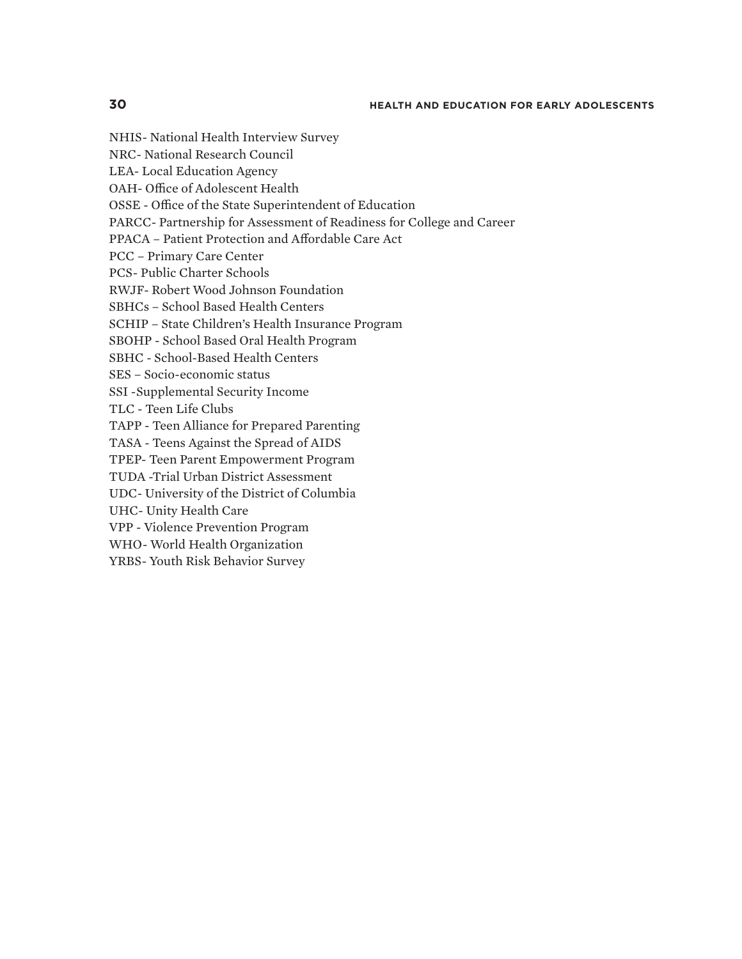NHIS- National Health Interview Survey NRC- National Research Council LEA- Local Education Agency OAH- Office of Adolescent Health OSSE - Office of the State Superintendent of Education PARCC- Partnership for Assessment of Readiness for College and Career PPACA – Patient Protection and Affordable Care Act PCC – Primary Care Center PCS- Public Charter Schools RWJF- Robert Wood Johnson Foundation SBHCs – School Based Health Centers SCHIP – State Children's Health Insurance Program SBOHP - School Based Oral Health Program SBHC - School-Based Health Centers SES – Socio-economic status SSI -Supplemental Security Income TLC - Teen Life Clubs TAPP - Teen Alliance for Prepared Parenting TASA - Teens Against the Spread of AIDS TPEP- Teen Parent Empowerment Program TUDA -Trial Urban District Assessment UDC- University of the District of Columbia UHC- Unity Health Care VPP - Violence Prevention Program WHO- World Health Organization YRBS- Youth Risk Behavior Survey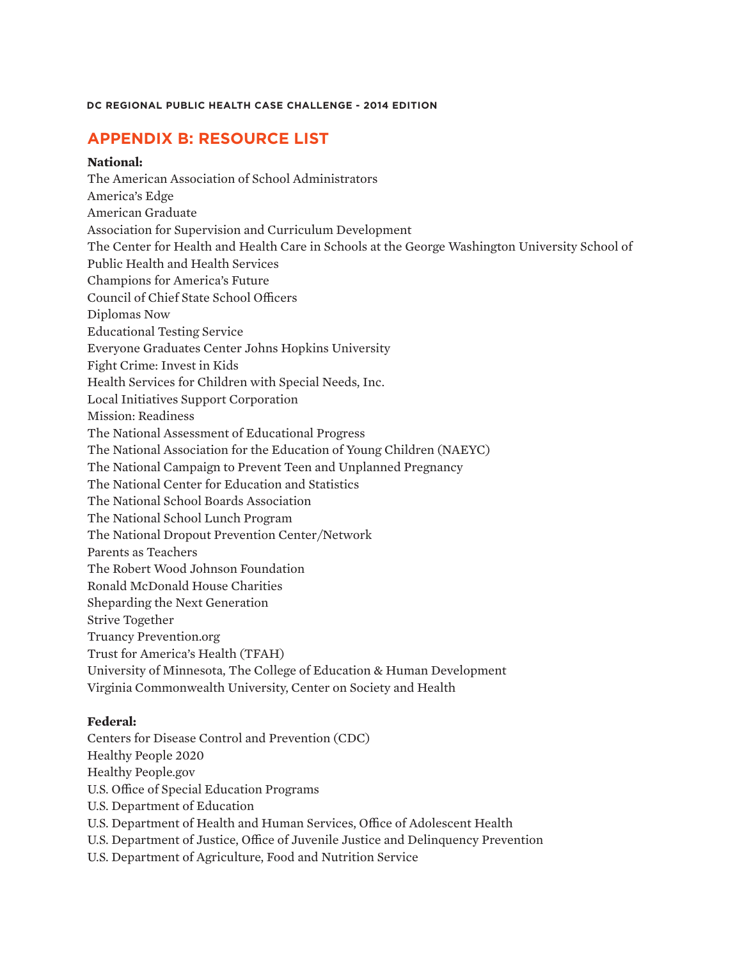# **APPENDIX B: RESOURCE LIST**

## **National:**

The American Association of School Administrators America's Edge American Graduate Association for Supervision and Curriculum Development The Center for Health and Health Care in Schools at the George Washington University School of Public Health and Health Services Champions for America's Future Council of Chief State School Officers Diplomas Now Educational Testing Service Everyone Graduates Center Johns Hopkins University Fight Crime: Invest in Kids Health Services for Children with Special Needs, Inc. Local Initiatives Support Corporation Mission: Readiness The National Assessment of Educational Progress The National Association for the Education of Young Children (NAEYC) The National Campaign to Prevent Teen and Unplanned Pregnancy The National Center for Education and Statistics The National School Boards Association The National School Lunch Program The National Dropout Prevention Center/Network Parents as Teachers The Robert Wood Johnson Foundation Ronald McDonald House Charities Sheparding the Next Generation Strive Together Truancy Prevention.org Trust for America's Health (TFAH) University of Minnesota, The College of Education & Human Development Virginia Commonwealth University, Center on Society and Health

## **Federal:**

Centers for Disease Control and Prevention (CDC) Healthy People 2020 Healthy People.gov U.S. Office of Special Education Programs U.S. Department of Education U.S. Department of Health and Human Services, Office of Adolescent Health U.S. Department of Justice, Office of Juvenile Justice and Delinquency Prevention U.S. Department of Agriculture, Food and Nutrition Service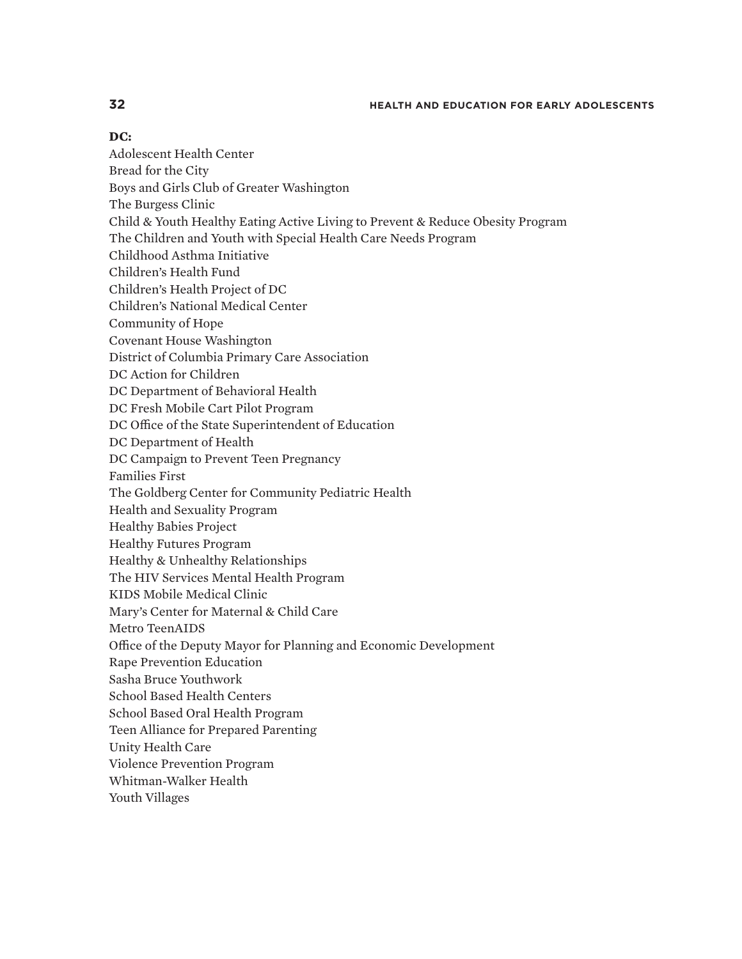#### **DC:**

Adolescent Health Center Bread for the City Boys and Girls Club of Greater Washington The Burgess Clinic Child & Youth Healthy Eating Active Living to Prevent & Reduce Obesity Program The Children and Youth with Special Health Care Needs Program Childhood Asthma Initiative Children's Health Fund Children's Health Project of DC Children's National Medical Center Community of Hope Covenant House Washington District of Columbia Primary Care Association DC Action for Children DC Department of Behavioral Health DC Fresh Mobile Cart Pilot Program DC Office of the State Superintendent of Education DC Department of Health DC Campaign to Prevent Teen Pregnancy Families First The Goldberg Center for Community Pediatric Health Health and Sexuality Program Healthy Babies Project Healthy Futures Program Healthy & Unhealthy Relationships The HIV Services Mental Health Program KIDS Mobile Medical Clinic Mary's Center for Maternal & Child Care Metro TeenAIDS Office of the Deputy Mayor for Planning and Economic Development Rape Prevention Education Sasha Bruce Youthwork School Based Health Centers School Based Oral Health Program Teen Alliance for Prepared Parenting Unity Health Care Violence Prevention Program Whitman-Walker Health Youth Villages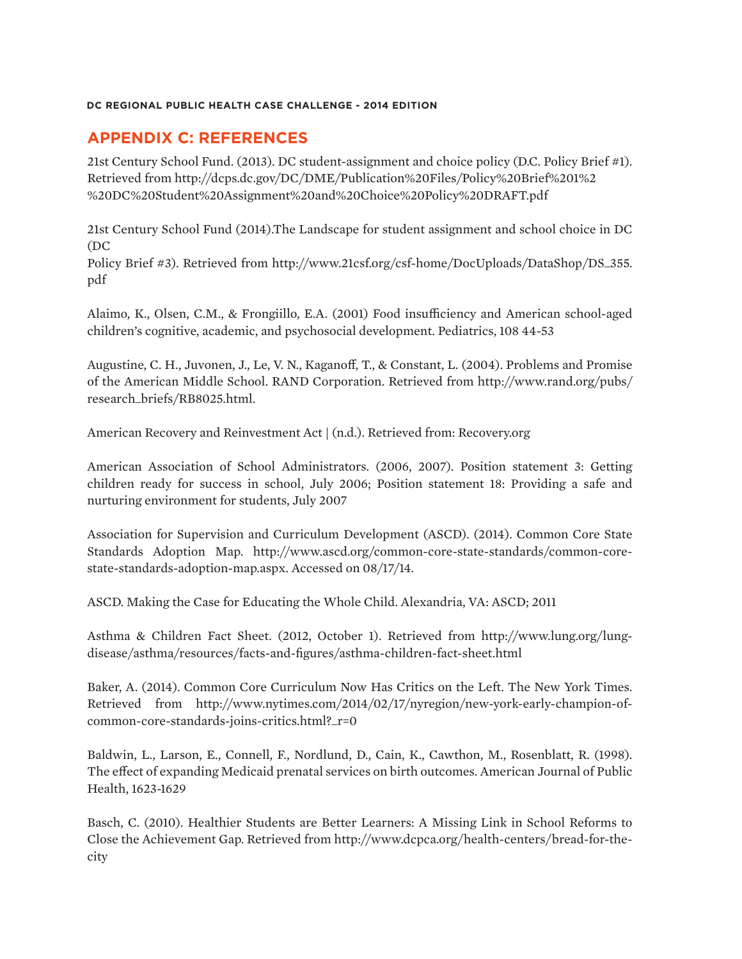# **APPENDIX C: REFERENCES**

21st Century School Fund. (2013). DC student-assignment and choice policy (D.C. Policy Brief #1). Retrieved from http://dcps.dc.gov/DC/DME/Publication%20Files/Policy%20Brief%201%2 %20DC%20Student%20Assignment%20and%20Choice%20Policy%20DRAFT.pdf

21st Century School Fund (2014).The Landscape for student assignment and school choice in DC (DC

Policy Brief #3). Retrieved from http://www.21csf.org/csf-home/DocUploads/DataShop/DS\_355. pdf

Alaimo, K., Olsen, C.M., & Frongiillo, E.A. (2001) Food insufficiency and American school-aged children's cognitive, academic, and psychosocial development. Pediatrics, 108 44-53

Augustine, C. H., Juvonen, J., Le, V. N., Kaganoff, T., & Constant, L. (2004). Problems and Promise of the American Middle School. RAND Corporation. Retrieved from http://www.rand.org/pubs/ research\_briefs/RB8025.html.

American Recovery and Reinvestment Act | (n.d.). Retrieved from: Recovery.org

American Association of School Administrators. (2006, 2007). Position statement 3: Getting children ready for success in school, July 2006; Position statement 18: Providing a safe and nurturing environment for students, July 2007

Association for Supervision and Curriculum Development (ASCD). (2014). Common Core State Standards Adoption Map. http://www.ascd.org/common-core-state-standards/common-corestate-standards-adoption-map.aspx. Accessed on 08/17/14.

ASCD. Making the Case for Educating the Whole Child. Alexandria, VA: ASCD; 2011

Asthma & Children Fact Sheet. (2012, October 1). Retrieved from http://www.lung.org/lungdisease/asthma/resources/facts-and-figures/asthma-children-fact-sheet.html

Baker, A. (2014). Common Core Curriculum Now Has Critics on the Left. The New York Times. Retrieved from http://www.nytimes.com/2014/02/17/nyregion/new-york-early-champion-ofcommon-core-standards-joins-critics.html?\_r=0

Baldwin, L., Larson, E., Connell, F., Nordlund, D., Cain, K., Cawthon, M., Rosenblatt, R. (1998). The effect of expanding Medicaid prenatal services on birth outcomes. American Journal of Public Health, 1623-1629

Basch, C. (2010). Healthier Students are Better Learners: A Missing Link in School Reforms to Close the Achievement Gap. Retrieved from http://www.dcpca.org/health-centers/bread-for-thecity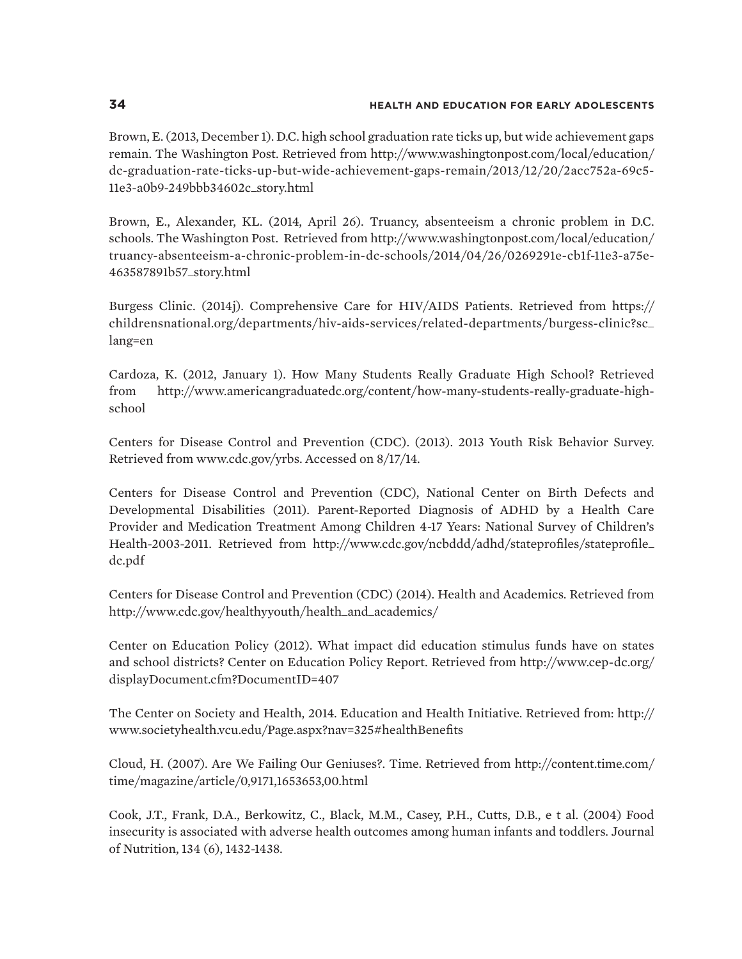Brown, E. (2013, December 1). D.C. high school graduation rate ticks up, but wide achievement gaps remain. The Washington Post. Retrieved from http://www.washingtonpost.com/local/education/ dc-graduation-rate-ticks-up-but-wide-achievement-gaps-remain/2013/12/20/2acc752a-69c5- 11e3-a0b9-249bbb34602c\_story.html

Brown, E., Alexander, KL. (2014, April 26). Truancy, absenteeism a chronic problem in D.C. schools. The Washington Post. Retrieved from http://www.washingtonpost.com/local/education/ truancy-absenteeism-a-chronic-problem-in-dc-schools/2014/04/26/0269291e-cb1f-11e3-a75e-463587891b57\_story.html

Burgess Clinic. (2014j). Comprehensive Care for HIV/AIDS Patients. Retrieved from https:// childrensnational.org/departments/hiv-aids-services/related-departments/burgess-clinic?sc\_ lang=en

Cardoza, K. (2012, January 1). How Many Students Really Graduate High School? Retrieved from http://www.americangraduatedc.org/content/how-many-students-really-graduate-highschool

Centers for Disease Control and Prevention (CDC). (2013). 2013 Youth Risk Behavior Survey. Retrieved from www.cdc.gov/yrbs. Accessed on 8/17/14.

Centers for Disease Control and Prevention (CDC), National Center on Birth Defects and Developmental Disabilities (2011). Parent-Reported Diagnosis of ADHD by a Health Care Provider and Medication Treatment Among Children 4-17 Years: National Survey of Children's Health-2003-2011. Retrieved from http://www.cdc.gov/ncbddd/adhd/stateprofiles/stateprofile\_ dc.pdf

Centers for Disease Control and Prevention (CDC) (2014). Health and Academics. Retrieved from http://www.cdc.gov/healthyyouth/health\_and\_academics/

Center on Education Policy (2012). What impact did education stimulus funds have on states and school districts? Center on Education Policy Report. Retrieved from http://www.cep-dc.org/ displayDocument.cfm?DocumentID=407

The Center on Society and Health, 2014. Education and Health Initiative. Retrieved from: http:// www.societyhealth.vcu.edu/Page.aspx?nav=325#healthBenefits

Cloud, H. (2007). Are We Failing Our Geniuses?. Time. Retrieved from http://content.time.com/ time/magazine/article/0,9171,1653653,00.html

Cook, J.T., Frank, D.A., Berkowitz, C., Black, M.M., Casey, P.H., Cutts, D.B., e t al. (2004) Food insecurity is associated with adverse health outcomes among human infants and toddlers. Journal of Nutrition, 134 (6), 1432-1438.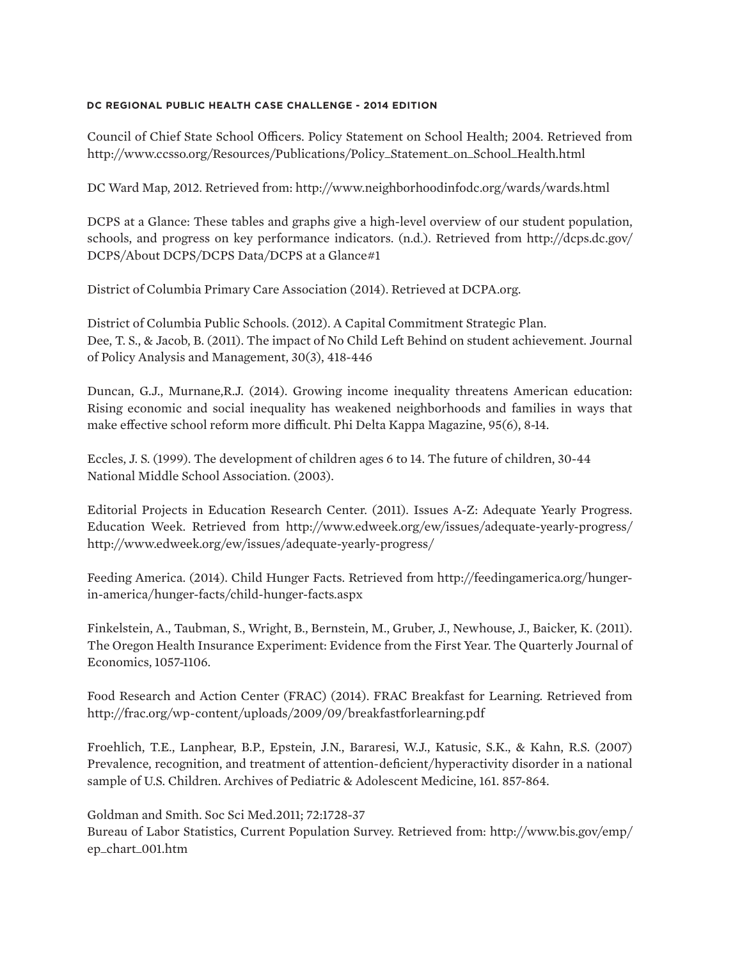Council of Chief State School Officers. Policy Statement on School Health; 2004. Retrieved from http://www.ccsso.org/Resources/Publications/Policy\_Statement\_on\_School\_Health.html

DC Ward Map, 2012. Retrieved from: http://www.neighborhoodinfodc.org/wards/wards.html

DCPS at a Glance: These tables and graphs give a high-level overview of our student population, schools, and progress on key performance indicators. (n.d.). Retrieved from http://dcps.dc.gov/ DCPS/About DCPS/DCPS Data/DCPS at a Glance#1

District of Columbia Primary Care Association (2014). Retrieved at DCPA.org.

District of Columbia Public Schools. (2012). A Capital Commitment Strategic Plan. Dee, T. S., & Jacob, B. (2011). The impact of No Child Left Behind on student achievement. Journal of Policy Analysis and Management, 30(3), 418-446

Duncan, G.J., Murnane,R.J. (2014). Growing income inequality threatens American education: Rising economic and social inequality has weakened neighborhoods and families in ways that make effective school reform more difficult. Phi Delta Kappa Magazine, 95(6), 8-14.

Eccles, J. S. (1999). The development of children ages 6 to 14. The future of children, 30-44 National Middle School Association. (2003).

Editorial Projects in Education Research Center. (2011). Issues A-Z: Adequate Yearly Progress. Education Week. Retrieved from http://www.edweek.org/ew/issues/adequate-yearly-progress/ http://www.edweek.org/ew/issues/adequate-yearly-progress/

Feeding America. (2014). Child Hunger Facts. Retrieved from http://feedingamerica.org/hungerin-america/hunger-facts/child-hunger-facts.aspx

Finkelstein, A., Taubman, S., Wright, B., Bernstein, M., Gruber, J., Newhouse, J., Baicker, K. (2011). The Oregon Health Insurance Experiment: Evidence from the First Year. The Quarterly Journal of Economics, 1057-1106.

Food Research and Action Center (FRAC) (2014). FRAC Breakfast for Learning. Retrieved from http://frac.org/wp-content/uploads/2009/09/breakfastforlearning.pdf

Froehlich, T.E., Lanphear, B.P., Epstein, J.N., Bararesi, W.J., Katusic, S.K., & Kahn, R.S. (2007) Prevalence, recognition, and treatment of attention-deficient/hyperactivity disorder in a national sample of U.S. Children. Archives of Pediatric & Adolescent Medicine, 161. 857-864.

Goldman and Smith. Soc Sci Med.2011; 72:1728-37

Bureau of Labor Statistics, Current Population Survey. Retrieved from: http://www.bis.gov/emp/ ep\_chart\_001.htm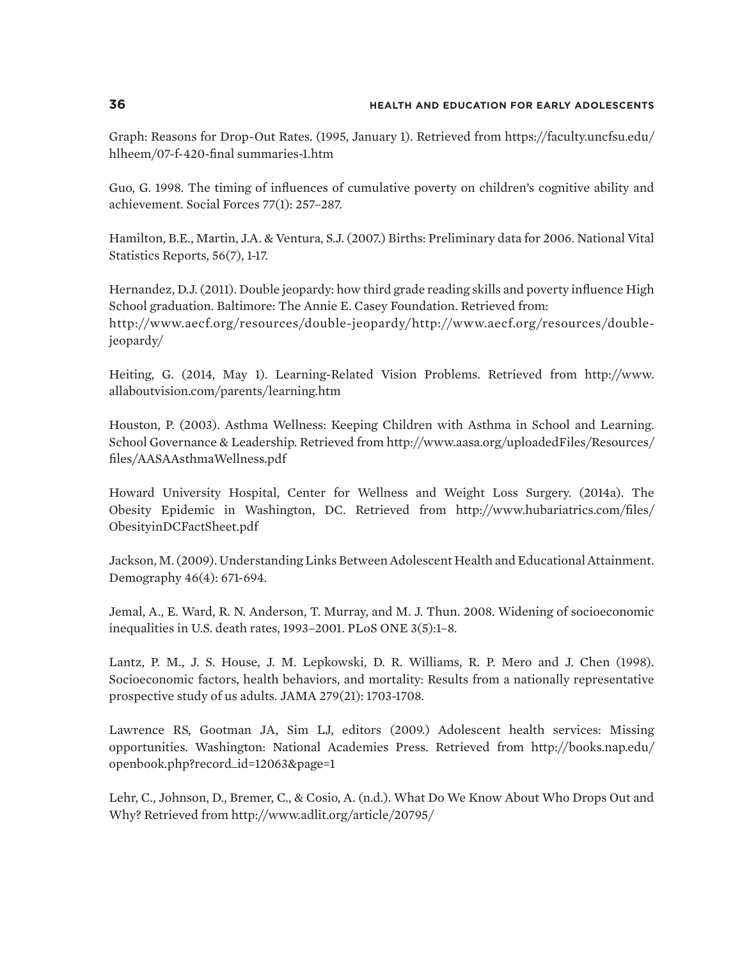Graph: Reasons for Drop-Out Rates. (1995, January 1). Retrieved from https://faculty.uncfsu.edu/ hlheem/07-f-420-final summaries-1.htm

Guo, G. 1998. The timing of influences of cumulative poverty on children's cognitive ability and achievement. Social Forces 77(1): 257–287.

Hamilton, B.E., Martin, J.A. & Ventura, S.J. (2007.) Births: Preliminary data for 2006. National Vital Statistics Reports, 56(7), 1-17.

Hernandez, D.J. (2011). Double jeopardy: how third grade reading skills and poverty influence High School graduation. Baltimore: The Annie E. Casey Foundation. Retrieved from: http://www.aecf.org/resources/double-jeopardy/http://www.aecf.org/resources/doublejeopardy/

Heiting, G. (2014, May 1). Learning-Related Vision Problems. Retrieved from http://www. allaboutvision.com/parents/learning.htm

Houston, P. (2003). Asthma Wellness: Keeping Children with Asthma in School and Learning. School Governance & Leadership. Retrieved from http://www.aasa.org/uploadedFiles/Resources/ files/AASAAsthmaWellness.pdf

Howard University Hospital, Center for Wellness and Weight Loss Surgery. (2014a). The Obesity Epidemic in Washington, DC. Retrieved from http://www.hubariatrics.com/files/ ObesityinDCFactSheet.pdf

Jackson, M. (2009). Understanding Links Between Adolescent Health and Educational Attainment. Demography 46(4): 671-694.

Jemal, A., E. Ward, R. N. Anderson, T. Murray, and M. J. Thun. 2008. Widening of socioeconomic inequalities in U.S. death rates, 1993–2001. PLoS ONE 3(5):1–8.

Lantz, P. M., J. S. House, J. M. Lepkowski, D. R. Williams, R. P. Mero and J. Chen (1998). Socioeconomic factors, health behaviors, and mortality: Results from a nationally representative prospective study of us adults. JAMA 279(21): 1703-1708.

Lawrence RS, Gootman JA, Sim LJ, editors (2009.) Adolescent health services: Missing opportunities. Washington: National Academies Press. Retrieved from http://books.nap.edu/ openbook.php?record\_id=12063&page=1

Lehr, C., Johnson, D., Bremer, C., & Cosio, A. (n.d.). What Do We Know About Who Drops Out and Why? Retrieved from http://www.adlit.org/article/20795/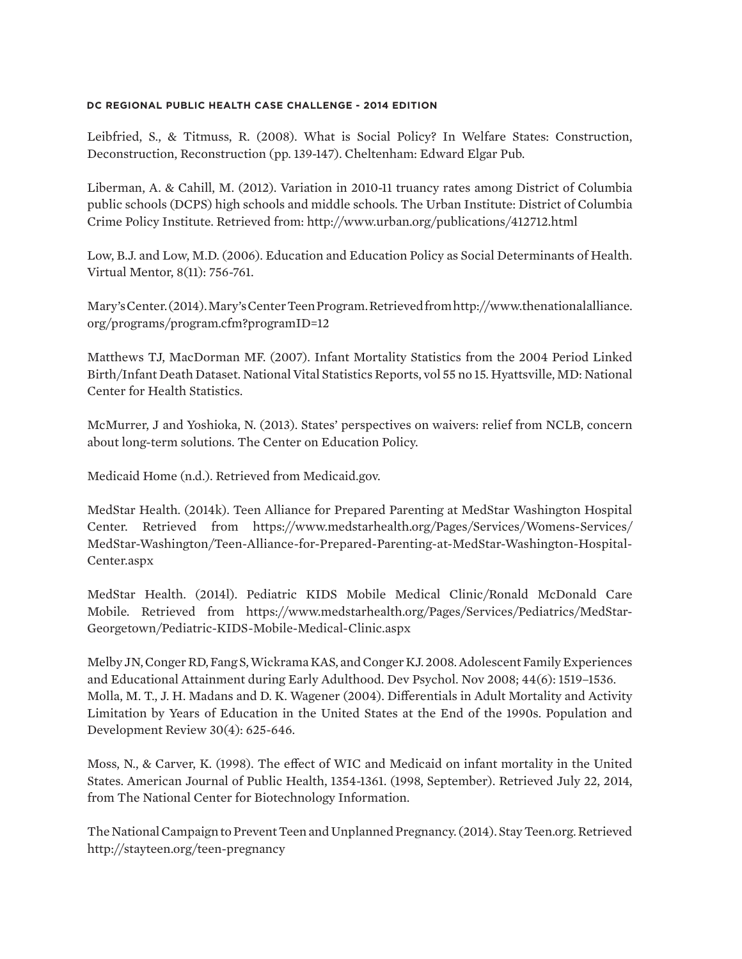Leibfried, S., & Titmuss, R. (2008). What is Social Policy? In Welfare States: Construction, Deconstruction, Reconstruction (pp. 139-147). Cheltenham: Edward Elgar Pub.

Liberman, A. & Cahill, M. (2012). Variation in 2010-11 truancy rates among District of Columbia public schools (DCPS) high schools and middle schools. The Urban Institute: District of Columbia Crime Policy Institute. Retrieved from: http://www.urban.org/publications/412712.html

Low, B.J. and Low, M.D. (2006). Education and Education Policy as Social Determinants of Health. Virtual Mentor, 8(11): 756-761.

Mary's Center. (2014). Mary's Center Teen Program. Retrieved from http://www.thenationalalliance. org/programs/program.cfm?programID=12

Matthews TJ, MacDorman MF. (2007). Infant Mortality Statistics from the 2004 Period Linked Birth/Infant Death Dataset. National Vital Statistics Reports, vol 55 no 15. Hyattsville, MD: National Center for Health Statistics.

McMurrer, J and Yoshioka, N. (2013). States' perspectives on waivers: relief from NCLB, concern about long-term solutions. The Center on Education Policy.

Medicaid Home (n.d.). Retrieved from Medicaid.gov.

MedStar Health. (2014k). Teen Alliance for Prepared Parenting at MedStar Washington Hospital Center. Retrieved from https://www.medstarhealth.org/Pages/Services/Womens-Services/ MedStar-Washington/Teen-Alliance-for-Prepared-Parenting-at-MedStar-Washington-Hospital-Center.aspx

MedStar Health. (2014l). Pediatric KIDS Mobile Medical Clinic/Ronald McDonald Care Mobile. Retrieved from https://www.medstarhealth.org/Pages/Services/Pediatrics/MedStar-Georgetown/Pediatric-KIDS-Mobile-Medical-Clinic.aspx

Melby JN, Conger RD, Fang S, Wickrama KAS, and Conger KJ. 2008. Adolescent Family Experiences and Educational Attainment during Early Adulthood. Dev Psychol. Nov 2008; 44(6): 1519–1536. Molla, M. T., J. H. Madans and D. K. Wagener (2004). Differentials in Adult Mortality and Activity Limitation by Years of Education in the United States at the End of the 1990s. Population and Development Review 30(4): 625-646.

Moss, N., & Carver, K. (1998). The effect of WIC and Medicaid on infant mortality in the United States. American Journal of Public Health, 1354-1361. (1998, September). Retrieved July 22, 2014, from The National Center for Biotechnology Information.

The National Campaign to Prevent Teen and Unplanned Pregnancy. (2014). Stay Teen.org. Retrieved http://stayteen.org/teen-pregnancy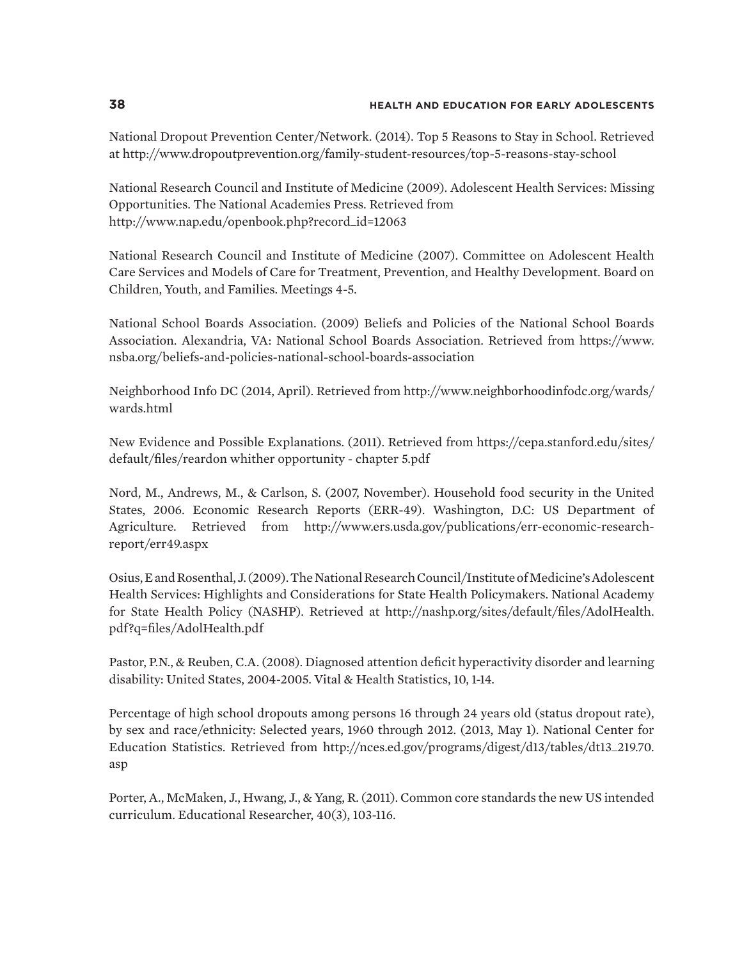National Dropout Prevention Center/Network. (2014). Top 5 Reasons to Stay in School. Retrieved at http://www.dropoutprevention.org/family-student-resources/top-5-reasons-stay-school

National Research Council and Institute of Medicine (2009). Adolescent Health Services: Missing Opportunities. The National Academies Press. Retrieved from http://www.nap.edu/openbook.php?record\_id=12063

National Research Council and Institute of Medicine (2007). Committee on Adolescent Health Care Services and Models of Care for Treatment, Prevention, and Healthy Development. Board on Children, Youth, and Families. Meetings 4-5.

National School Boards Association. (2009) Beliefs and Policies of the National School Boards Association. Alexandria, VA: National School Boards Association. Retrieved from https://www. nsba.org/beliefs-and-policies-national-school-boards-association

Neighborhood Info DC (2014, April). Retrieved from http://www.neighborhoodinfodc.org/wards/ wards.html

New Evidence and Possible Explanations. (2011). Retrieved from https://cepa.stanford.edu/sites/ default/files/reardon whither opportunity - chapter 5.pdf

Nord, M., Andrews, M., & Carlson, S. (2007, November). Household food security in the United States, 2006. Economic Research Reports (ERR-49). Washington, D.C: US Department of Agriculture. Retrieved from http://www.ers.usda.gov/publications/err-economic-researchreport/err49.aspx

Osius, E and Rosenthal, J. (2009). The National Research Council/Institute of Medicine's Adolescent Health Services: Highlights and Considerations for State Health Policymakers. National Academy for State Health Policy (NASHP). Retrieved at http://nashp.org/sites/default/files/AdolHealth. pdf?q=files/AdolHealth.pdf

Pastor, P.N., & Reuben, C.A. (2008). Diagnosed attention deficit hyperactivity disorder and learning disability: United States, 2004-2005. Vital & Health Statistics, 10, 1-14.

Percentage of high school dropouts among persons 16 through 24 years old (status dropout rate), by sex and race/ethnicity: Selected years, 1960 through 2012. (2013, May 1). National Center for Education Statistics. Retrieved from http://nces.ed.gov/programs/digest/d13/tables/dt13\_219.70. asp

Porter, A., McMaken, J., Hwang, J., & Yang, R. (2011). Common core standards the new US intended curriculum. Educational Researcher, 40(3), 103-116.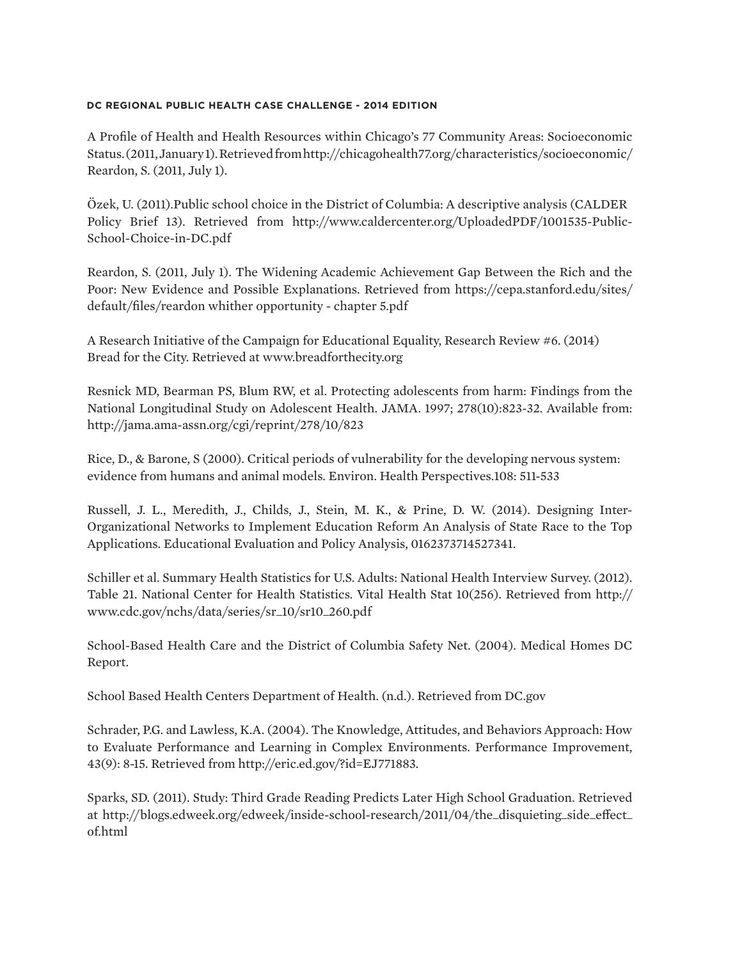A Profile of Health and Health Resources within Chicago's 77 Community Areas: Socioeconomic Status. (2011, January 1). Retrieved from http://chicagohealth77.org/characteristics/socioeconomic/ Reardon, S. (2011, July 1).

Özek, U. (2011).Public school choice in the District of Columbia: A descriptive analysis (CALDER Policy Brief 13). Retrieved from http://www.caldercenter.org/UploadedPDF/1001535-Public-School-Choice-in-DC.pdf

Reardon, S. (2011, July 1). The Widening Academic Achievement Gap Between the Rich and the Poor: New Evidence and Possible Explanations. Retrieved from https://cepa.stanford.edu/sites/ default/files/reardon whither opportunity - chapter 5.pdf

A Research Initiative of the Campaign for Educational Equality, Research Review #6. (2014) Bread for the City. Retrieved at www.breadforthecity.org

Resnick MD, Bearman PS, Blum RW, et al. Protecting adolescents from harm: Findings from the National Longitudinal Study on Adolescent Health. JAMA. 1997; 278(10):823-32. Available from: http://jama.ama-assn.org/cgi/reprint/278/10/823

Rice, D., & Barone, S (2000). Critical periods of vulnerability for the developing nervous system: evidence from humans and animal models. Environ. Health Perspectives.108: 511-533

Russell, J. L., Meredith, J., Childs, J., Stein, M. K., & Prine, D. W. (2014). Designing Inter-Organizational Networks to Implement Education Reform An Analysis of State Race to the Top Applications. Educational Evaluation and Policy Analysis, 0162373714527341.

Schiller et al. Summary Health Statistics for U.S. Adults: National Health Interview Survey. (2012). Table 21. National Center for Health Statistics. Vital Health Stat 10(256). Retrieved from http:// www.cdc.gov/nchs/data/series/sr\_10/sr10\_260.pdf

School-Based Health Care and the District of Columbia Safety Net. (2004). Medical Homes DC Report.

School Based Health Centers Department of Health. (n.d.). Retrieved from DC.gov

Schrader, P.G. and Lawless, K.A. (2004). The Knowledge, Attitudes, and Behaviors Approach: How to Evaluate Performance and Learning in Complex Environments. Performance Improvement, 43(9): 8-15. Retrieved from http://eric.ed.gov/?id=EJ771883.

Sparks, SD. (2011). Study: Third Grade Reading Predicts Later High School Graduation. Retrieved at http://blogs.edweek.org/edweek/inside-school-research/2011/04/the\_disquieting\_side\_effect\_ of.html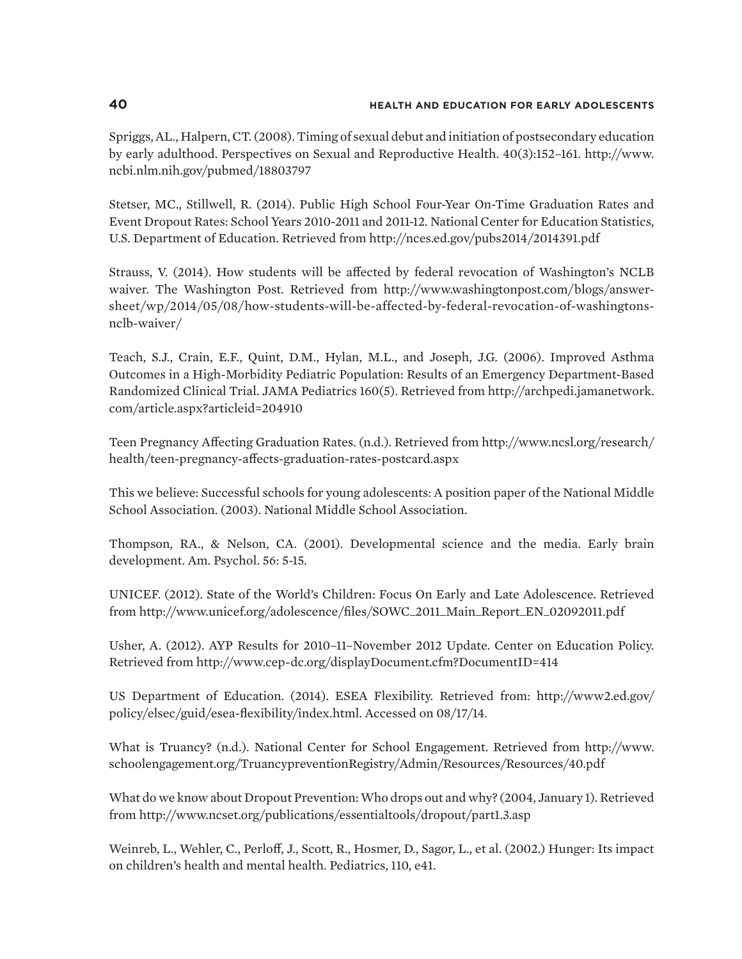Spriggs, AL., Halpern, CT. (2008). Timing of sexual debut and initiation of postsecondary education by early adulthood. Perspectives on Sexual and Reproductive Health. 40(3):152–161. http://www. ncbi.nlm.nih.gov/pubmed/18803797

Stetser, MC., Stillwell, R. (2014). Public High School Four-Year On-Time Graduation Rates and Event Dropout Rates: School Years 2010-2011 and 2011-12. National Center for Education Statistics, U.S. Department of Education. Retrieved from http://nces.ed.gov/pubs2014/2014391.pdf

Strauss, V. (2014). How students will be affected by federal revocation of Washington's NCLB waiver. The Washington Post. Retrieved from http://www.washingtonpost.com/blogs/answersheet/wp/2014/05/08/how-students-will-be-affected-by-federal-revocation-of-washingtonsnclb-waiver/

Teach, S.J., Crain, E.F., Quint, D.M., Hylan, M.L., and Joseph, J.G. (2006). Improved Asthma Outcomes in a High-Morbidity Pediatric Population: Results of an Emergency Department-Based Randomized Clinical Trial. JAMA Pediatrics 160(5). Retrieved from http://archpedi.jamanetwork. com/article.aspx?articleid=204910

Teen Pregnancy Affecting Graduation Rates. (n.d.). Retrieved from http://www.ncsl.org/research/ health/teen-pregnancy-affects-graduation-rates-postcard.aspx

This we believe: Successful schools for young adolescents: A position paper of the National Middle School Association. (2003). National Middle School Association.

Thompson, RA., & Nelson, CA. (2001). Developmental science and the media. Early brain development. Am. Psychol. 56: 5-15.

UNICEF. (2012). State of the World's Children: Focus On Early and Late Adolescence. Retrieved from http://www.unicef.org/adolescence/files/SOWC\_2011\_Main\_Report\_EN\_02092011.pdf

Usher, A. (2012). AYP Results for 2010–11–November 2012 Update. Center on Education Policy. Retrieved from http://www.cep-dc.org/displayDocument.cfm?DocumentID=414

US Department of Education. (2014). ESEA Flexibility. Retrieved from: http://www2.ed.gov/ policy/elsec/guid/esea-flexibility/index.html. Accessed on 08/17/14.

What is Truancy? (n.d.). National Center for School Engagement. Retrieved from http://www. schoolengagement.org/TruancypreventionRegistry/Admin/Resources/Resources/40.pdf

What do we know about Dropout Prevention: Who drops out and why? (2004, January 1). Retrieved from http://www.ncset.org/publications/essentialtools/dropout/part1.3.asp

Weinreb, L., Wehler, C., Perloff, J., Scott, R., Hosmer, D., Sagor, L., et al. (2002.) Hunger: Its impact on children's health and mental health. Pediatrics, 110, e41.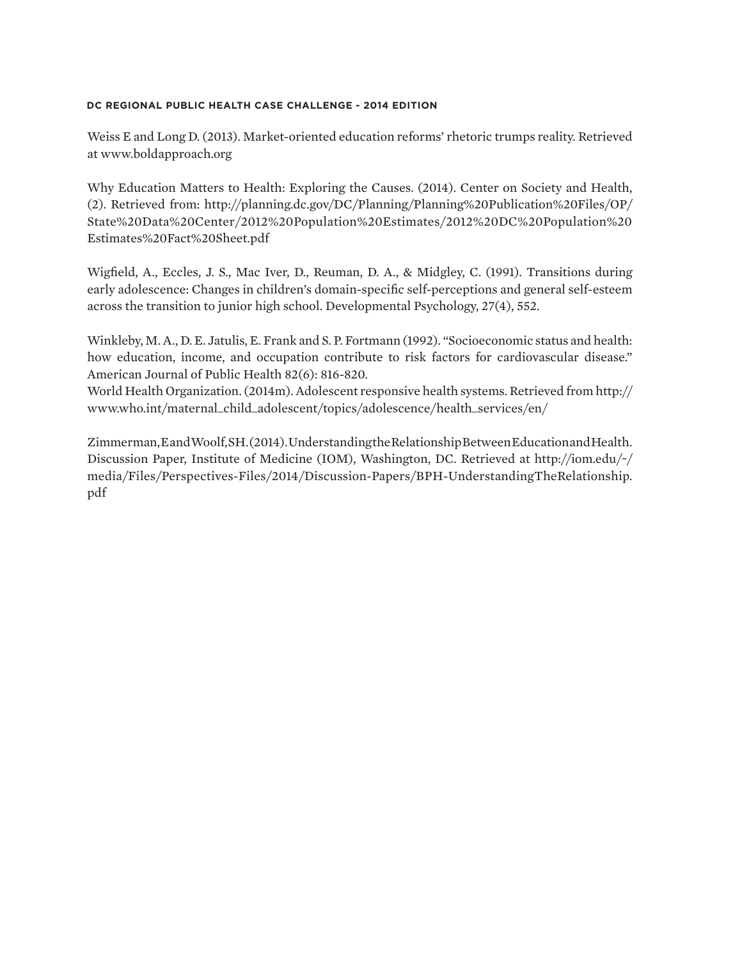Weiss E and Long D. (2013). Market-oriented education reforms' rhetoric trumps reality. Retrieved at www.boldapproach.org

Why Education Matters to Health: Exploring the Causes. (2014). Center on Society and Health, (2). Retrieved from: http://planning.dc.gov/DC/Planning/Planning%20Publication%20Files/OP/ State%20Data%20Center/2012%20Population%20Estimates/2012%20DC%20Population%20 Estimates%20Fact%20Sheet.pdf

Wigfield, A., Eccles, J. S., Mac Iver, D., Reuman, D. A., & Midgley, C. (1991). Transitions during early adolescence: Changes in children's domain-specific self-perceptions and general self-esteem across the transition to junior high school. Developmental Psychology, 27(4), 552.

Winkleby, M. A., D. E. Jatulis, E. Frank and S. P. Fortmann (1992). "Socioeconomic status and health: how education, income, and occupation contribute to risk factors for cardiovascular disease." American Journal of Public Health 82(6): 816-820.

World Health Organization. (2014m). Adolescent responsive health systems. Retrieved from http:// www.who.int/maternal\_child\_adolescent/topics/adolescence/health\_services/en/

Zimmerman, E and Woolf, SH. (2014). Understanding the Relationship Between Education and Health. Discussion Paper, Institute of Medicine (IOM), Washington, DC. Retrieved at http://iom.edu/~/ media/Files/Perspectives-Files/2014/Discussion-Papers/BPH-UnderstandingTheRelationship. pdf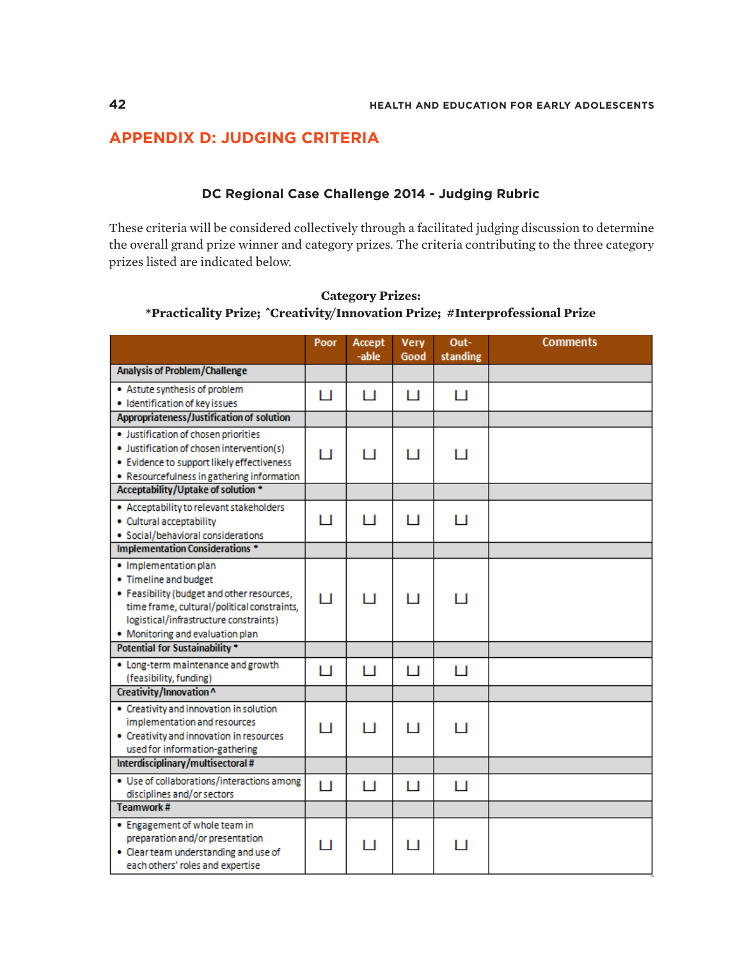# **APPENDIX D: JUDGING CRITERIA**

## **DC Regional Case Challenge 2014 - Judging Rubric**

These criteria will be considered collectively through a facilitated judging discussion to determine the overall grand prize winner and category prizes. The criteria contributing to the three category prizes listed are indicated below.

|                                                                                                                                                                                                                           | Poor | Accept<br>-able | <b>Very</b><br>Good | Out-<br>standing | <b>Comments</b> |
|---------------------------------------------------------------------------------------------------------------------------------------------------------------------------------------------------------------------------|------|-----------------|---------------------|------------------|-----------------|
| <b>Analysis of Problem/Challenge</b>                                                                                                                                                                                      |      |                 |                     |                  |                 |
| • Astute synthesis of problem<br>· Identification of key issues                                                                                                                                                           | п    | п               | н                   | П                |                 |
| Appropriateness/Justification of solution                                                                                                                                                                                 |      |                 |                     |                  |                 |
| · Justification of chosen priorities<br>· Justification of chosen intervention(s)<br>. Evidence to support likely effectiveness<br>• Resourcefulness in gathering information                                             | п    | п               | н                   | п                |                 |
| Acceptability/Uptake of solution *                                                                                                                                                                                        |      |                 |                     |                  |                 |
| • Acceptability to relevant stakeholders<br>· Cultural acceptability<br>· Social/behavioral considerations                                                                                                                | П    | п               | П                   | П                |                 |
| Implementation Considerations *                                                                                                                                                                                           |      |                 |                     |                  |                 |
| · Implementation plan<br>• Timeline and budget<br>• Feasibility (budget and other resources,<br>time frame, cultural/political constraints,<br>logistical/infrastructure constraints)<br>• Monitoring and evaluation plan | п    | $\mathbf{L}$    | П                   | П                |                 |
| <b>Potential for Sustainability *</b>                                                                                                                                                                                     |      |                 |                     |                  |                 |
| • Long-term maintenance and growth<br>(feasibility, funding)                                                                                                                                                              | П    | П               | П                   | П                |                 |
| Creativity/Innovation^                                                                                                                                                                                                    |      |                 |                     |                  |                 |
| • Creativity and innovation in solution<br>implementation and resources<br>• Creativity and innovation in resources<br>used for information-gathering                                                                     | ы    | H               | 1 I                 | H                |                 |
| Interdisciplinary/multisectoral#                                                                                                                                                                                          |      |                 |                     |                  |                 |
| . Use of collaborations/interactions among<br>disciplines and/or sectors                                                                                                                                                  | П    | П               | П                   | П                |                 |
| <b>Teamwork#</b>                                                                                                                                                                                                          |      |                 |                     |                  |                 |
| • Engagement of whole team in<br>preparation and/or presentation<br>• Clear team understanding and use of<br>each others' roles and expertise                                                                             | п    | 1 I             | 1 I                 | 1 I              |                 |

**Category Prizes: \*Practicality Prize; ^Creativity/Innovation Prize; #Interprofessional Prize**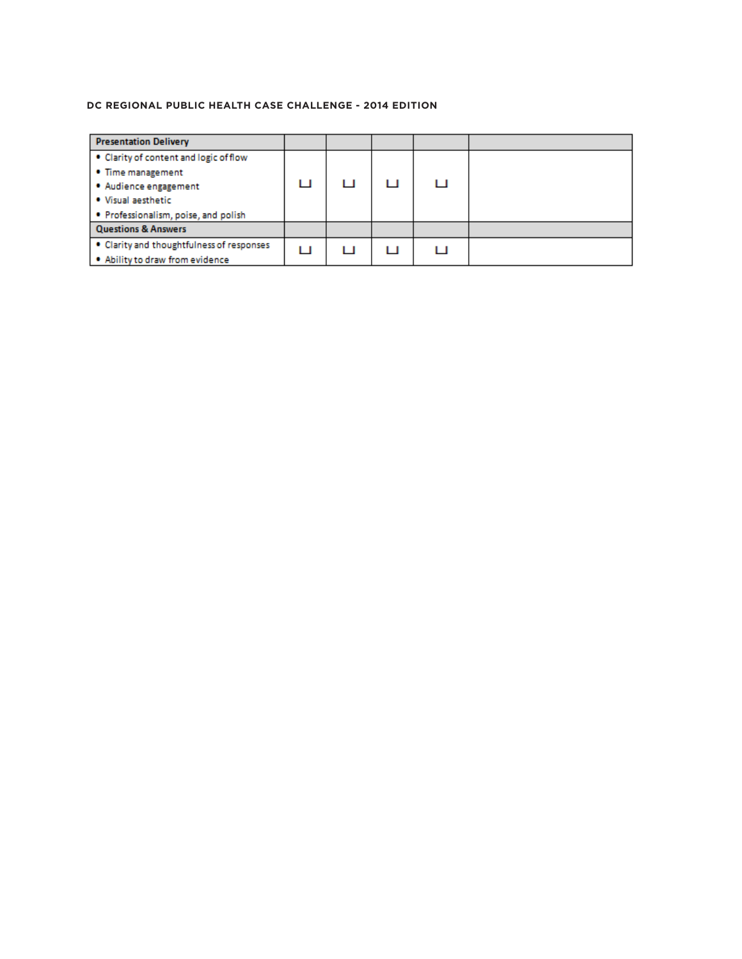| <b>Presentation Delivery</b>              |   |     |     |  |
|-------------------------------------------|---|-----|-----|--|
| • Clarity of content and logic of flow    |   |     |     |  |
| • Time management                         |   |     |     |  |
| • Audience engagement                     | ш |     | . . |  |
| . Visual aesthetic                        |   |     |     |  |
| . Professionalism, poise, and polish      |   |     |     |  |
| <b>Questions &amp; Answers</b>            |   |     |     |  |
| • Clarity and thoughtfulness of responses | H | . . | . . |  |
| . Ability to draw from evidence           |   |     |     |  |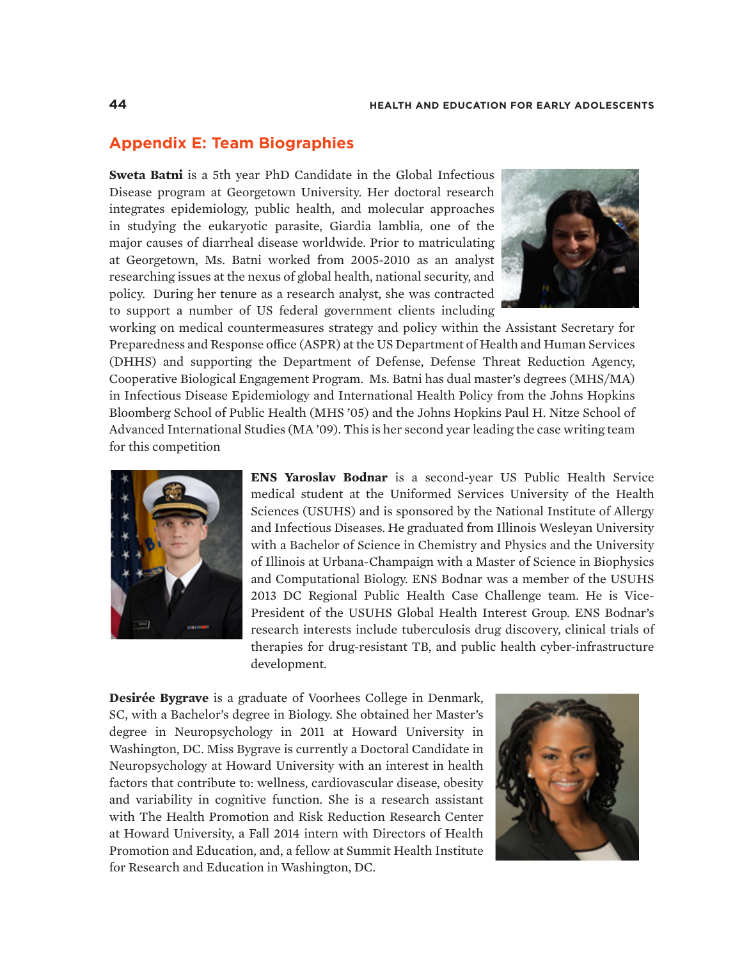# **Appendix E: Team Biographies**

**Sweta Batni** is a 5th year PhD Candidate in the Global Infectious Disease program at Georgetown University. Her doctoral research integrates epidemiology, public health, and molecular approaches in studying the eukaryotic parasite, Giardia lamblia, one of the major causes of diarrheal disease worldwide. Prior to matriculating at Georgetown, Ms. Batni worked from 2005-2010 as an analyst researching issues at the nexus of global health, national security, and policy. During her tenure as a research analyst, she was contracted to support a number of US federal government clients including



working on medical countermeasures strategy and policy within the Assistant Secretary for Preparedness and Response office (ASPR) at the US Department of Health and Human Services (DHHS) and supporting the Department of Defense, Defense Threat Reduction Agency, Cooperative Biological Engagement Program. Ms. Batni has dual master's degrees (MHS/MA) in Infectious Disease Epidemiology and International Health Policy from the Johns Hopkins Bloomberg School of Public Health (MHS '05) and the Johns Hopkins Paul H. Nitze School of Advanced International Studies (MA '09). This is her second year leading the case writing team for this competition



**ENS Yaroslav Bodnar** is a second-year US Public Health Service medical student at the Uniformed Services University of the Health Sciences (USUHS) and is sponsored by the National Institute of Allergy and Infectious Diseases. He graduated from Illinois Wesleyan University with a Bachelor of Science in Chemistry and Physics and the University of Illinois at Urbana-Champaign with a Master of Science in Biophysics and Computational Biology. ENS Bodnar was a member of the USUHS 2013 DC Regional Public Health Case Challenge team. He is Vice-President of the USUHS Global Health Interest Group. ENS Bodnar's research interests include tuberculosis drug discovery, clinical trials of therapies for drug-resistant TB, and public health cyber-infrastructure development.

**Desirée Bygrave** is a graduate of Voorhees College in Denmark, SC, with a Bachelor's degree in Biology. She obtained her Master's degree in Neuropsychology in 2011 at Howard University in Washington, DC. Miss Bygrave is currently a Doctoral Candidate in Neuropsychology at Howard University with an interest in health factors that contribute to: wellness, cardiovascular disease, obesity and variability in cognitive function. She is a research assistant with The Health Promotion and Risk Reduction Research Center at Howard University, a Fall 2014 intern with Directors of Health Promotion and Education, and, a fellow at Summit Health Institute for Research and Education in Washington, DC.

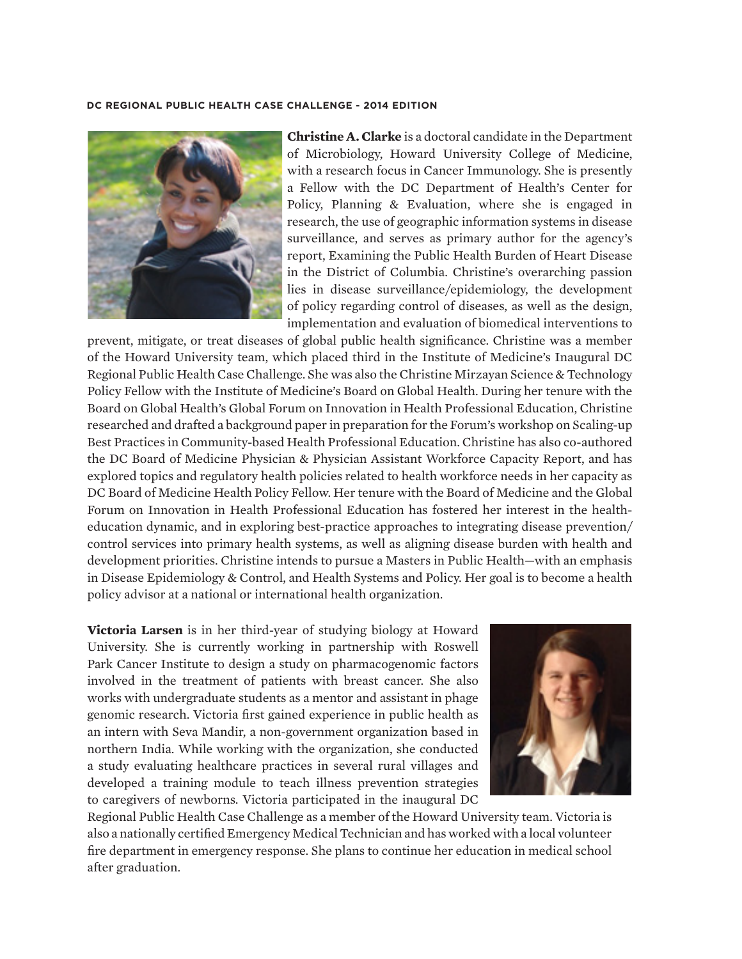

**Christine A. Clarke** is a doctoral candidate in the Department of Microbiology, Howard University College of Medicine, with a research focus in Cancer Immunology. She is presently a Fellow with the DC Department of Health's Center for Policy, Planning & Evaluation, where she is engaged in research, the use of geographic information systems in disease surveillance, and serves as primary author for the agency's report, Examining the Public Health Burden of Heart Disease in the District of Columbia. Christine's overarching passion lies in disease surveillance/epidemiology, the development of policy regarding control of diseases, as well as the design, implementation and evaluation of biomedical interventions to

prevent, mitigate, or treat diseases of global public health significance. Christine was a member of the Howard University team, which placed third in the Institute of Medicine's Inaugural DC Regional Public Health Case Challenge. She was also the Christine Mirzayan Science & Technology Policy Fellow with the Institute of Medicine's Board on Global Health. During her tenure with the Board on Global Health's Global Forum on Innovation in Health Professional Education, Christine researched and drafted a background paper in preparation for the Forum's workshop on Scaling-up Best Practices in Community-based Health Professional Education. Christine has also co-authored the DC Board of Medicine Physician & Physician Assistant Workforce Capacity Report, and has explored topics and regulatory health policies related to health workforce needs in her capacity as DC Board of Medicine Health Policy Fellow. Her tenure with the Board of Medicine and the Global Forum on Innovation in Health Professional Education has fostered her interest in the healtheducation dynamic, and in exploring best-practice approaches to integrating disease prevention/ control services into primary health systems, as well as aligning disease burden with health and development priorities. Christine intends to pursue a Masters in Public Health—with an emphasis in Disease Epidemiology & Control, and Health Systems and Policy. Her goal is to become a health policy advisor at a national or international health organization.

**Victoria Larsen** is in her third-year of studying biology at Howard University. She is currently working in partnership with Roswell Park Cancer Institute to design a study on pharmacogenomic factors involved in the treatment of patients with breast cancer. She also works with undergraduate students as a mentor and assistant in phage genomic research. Victoria first gained experience in public health as an intern with Seva Mandir, a non-government organization based in northern India. While working with the organization, she conducted a study evaluating healthcare practices in several rural villages and developed a training module to teach illness prevention strategies to caregivers of newborns. Victoria participated in the inaugural DC



Regional Public Health Case Challenge as a member of the Howard University team. Victoria is also a nationally certified Emergency Medical Technician and has worked with a local volunteer fire department in emergency response. She plans to continue her education in medical school after graduation.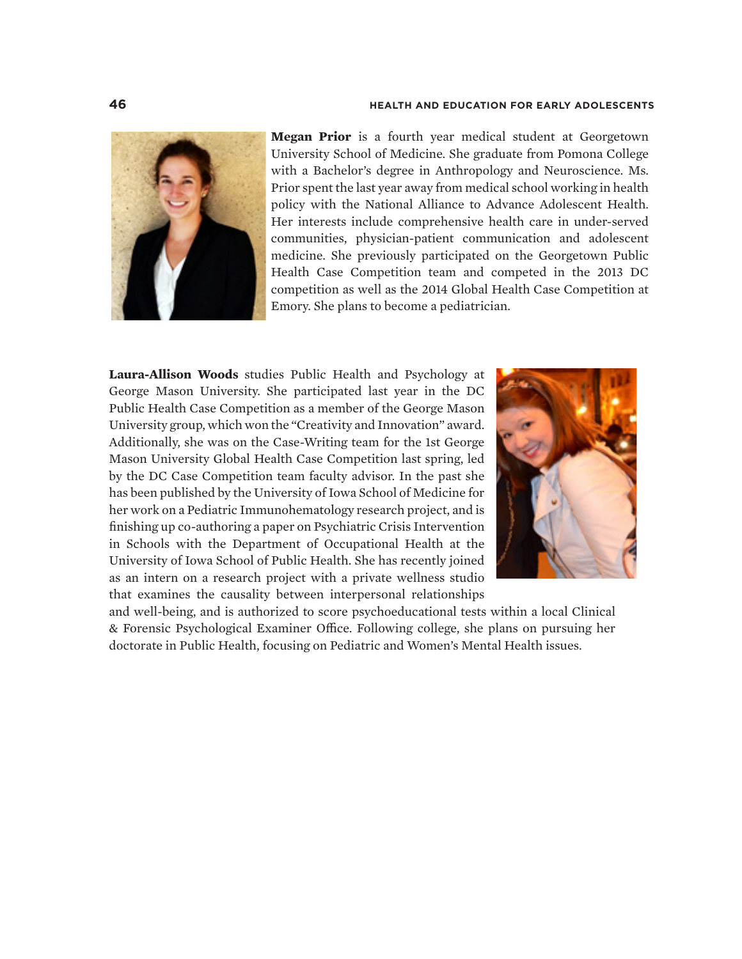

**Megan Prior** is a fourth year medical student at Georgetown University School of Medicine. She graduate from Pomona College with a Bachelor's degree in Anthropology and Neuroscience. Ms. Prior spent the last year away from medical school working in health policy with the National Alliance to Advance Adolescent Health. Her interests include comprehensive health care in under-served communities, physician-patient communication and adolescent medicine. She previously participated on the Georgetown Public Health Case Competition team and competed in the 2013 DC competition as well as the 2014 Global Health Case Competition at Emory. She plans to become a pediatrician.

**Laura-Allison Woods** studies Public Health and Psychology at George Mason University. She participated last year in the DC Public Health Case Competition as a member of the George Mason University group, which won the "Creativity and Innovation" award. Additionally, she was on the Case-Writing team for the 1st George Mason University Global Health Case Competition last spring, led by the DC Case Competition team faculty advisor. In the past she has been published by the University of Iowa School of Medicine for her work on a Pediatric Immunohematology research project, and is finishing up co-authoring a paper on Psychiatric Crisis Intervention in Schools with the Department of Occupational Health at the University of Iowa School of Public Health. She has recently joined as an intern on a research project with a private wellness studio that examines the causality between interpersonal relationships



and well-being, and is authorized to score psychoeducational tests within a local Clinical & Forensic Psychological Examiner Office. Following college, she plans on pursuing her doctorate in Public Health, focusing on Pediatric and Women's Mental Health issues.